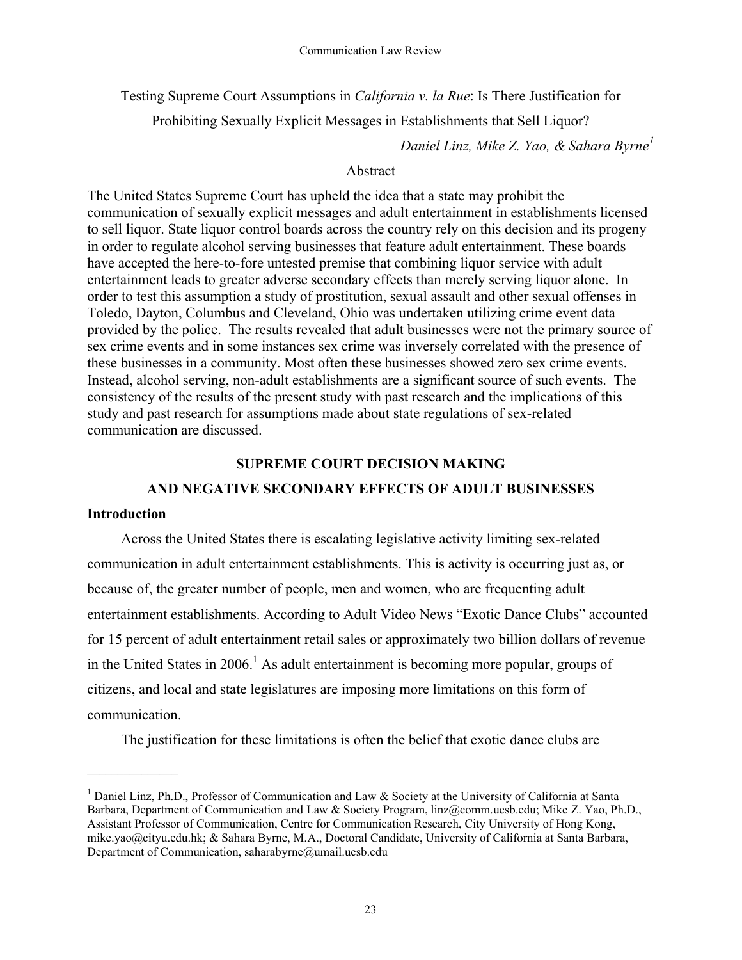Testing Supreme Court Assumptions in *California v. la Rue*: Is There Justification for

Prohibiting Sexually Explicit Messages in Establishments that Sell Liquor?

*Daniel Linz, Mike Z. Yao, & Sahara Byrne<sup>1</sup>*

# Abstract

The United States Supreme Court has upheld the idea that a state may prohibit the communication of sexually explicit messages and adult entertainment in establishments licensed to sell liquor. State liquor control boards across the country rely on this decision and its progeny in order to regulate alcohol serving businesses that feature adult entertainment. These boards have accepted the here-to-fore untested premise that combining liquor service with adult entertainment leads to greater adverse secondary effects than merely serving liquor alone. In order to test this assumption a study of prostitution, sexual assault and other sexual offenses in Toledo, Dayton, Columbus and Cleveland, Ohio was undertaken utilizing crime event data provided by the police. The results revealed that adult businesses were not the primary source of sex crime events and in some instances sex crime was inversely correlated with the presence of these businesses in a community. Most often these businesses showed zero sex crime events. Instead, alcohol serving, non-adult establishments are a significant source of such events. The consistency of the results of the present study with past research and the implications of this study and past research for assumptions made about state regulations of sex-related communication are discussed.

# **SUPREME COURT DECISION MAKING**

# **AND NEGATIVE SECONDARY EFFECTS OF ADULT BUSINESSES**

# **Introduction**

 $\mathcal{L}_\text{max}$ 

Across the United States there is escalating legislative activity limiting sex-related communication in adult entertainment establishments. This is activity is occurring just as, or because of, the greater number of people, men and women, who are frequenting adult entertainment establishments. According to Adult Video News "Exotic Dance Clubs" accounted for 15 percent of adult entertainment retail sales or approximately two billion dollars of revenue in the United States in  $2006$ .<sup>1</sup> As adult entertainment is becoming more popular, groups of citizens, and local and state legislatures are imposing more limitations on this form of communication.

The justification for these limitations is often the belief that exotic dance clubs are

<sup>&</sup>lt;sup>1</sup> Daniel Linz, Ph.D., Professor of Communication and Law & Society at the University of California at Santa Barbara, Department of Communication and Law & Society Program, linz@comm.ucsb.edu; Mike Z. Yao, Ph.D., Assistant Professor of Communication, Centre for Communication Research, City University of Hong Kong, mike.yao@cityu.edu.hk; & Sahara Byrne, M.A., Doctoral Candidate, University of California at Santa Barbara, Department of Communication, saharabyrne@umail.ucsb.edu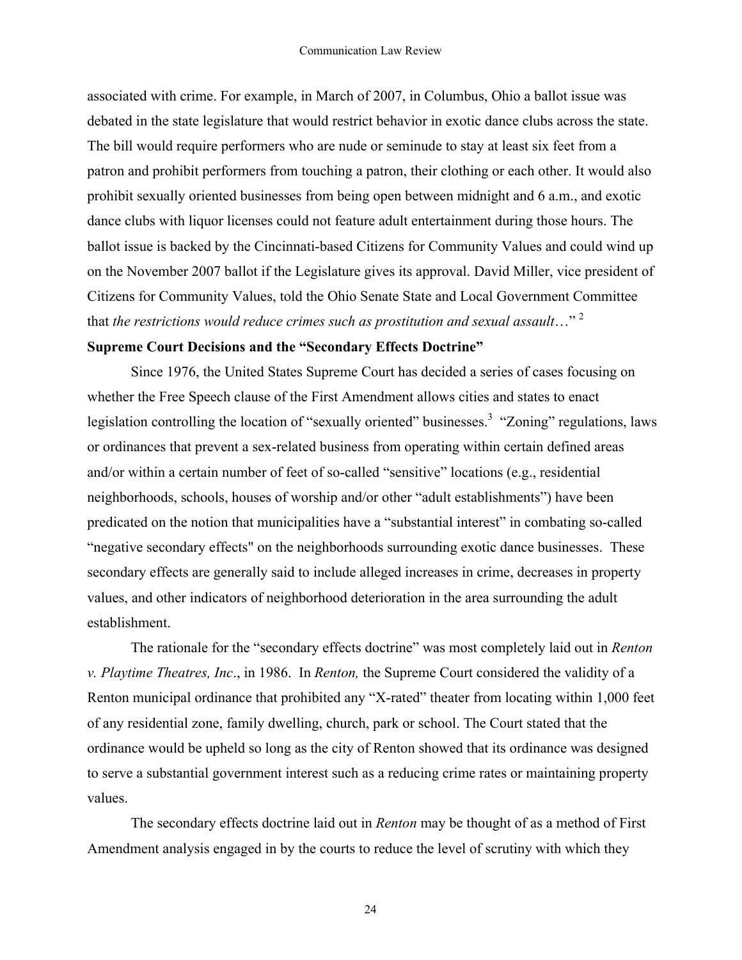associated with crime. For example, in March of 2007, in Columbus, Ohio a ballot issue was debated in the state legislature that would restrict behavior in exotic dance clubs across the state. The bill would require performers who are nude or seminude to stay at least six feet from a patron and prohibit performers from touching a patron, their clothing or each other. It would also prohibit sexually oriented businesses from being open between midnight and 6 a.m., and exotic dance clubs with liquor licenses could not feature adult entertainment during those hours. The ballot issue is backed by the Cincinnati-based Citizens for Community Values and could wind up on the November 2007 ballot if the Legislature gives its approval. David Miller, vice president of Citizens for Community Values, told the Ohio Senate State and Local Government Committee that *the restrictions would reduce crimes such as prostitution and sexual assault*…" 2

# **Supreme Court Decisions and the "Secondary Effects Doctrine"**

Since 1976, the United States Supreme Court has decided a series of cases focusing on whether the Free Speech clause of the First Amendment allows cities and states to enact legislation controlling the location of "sexually oriented" businesses.<sup>3</sup> "Zoning" regulations, laws or ordinances that prevent a sex-related business from operating within certain defined areas and/or within a certain number of feet of so-called "sensitive" locations (e.g., residential neighborhoods, schools, houses of worship and/or other "adult establishments") have been predicated on the notion that municipalities have a "substantial interest" in combating so-called "negative secondary effects" on the neighborhoods surrounding exotic dance businesses. These secondary effects are generally said to include alleged increases in crime, decreases in property values, and other indicators of neighborhood deterioration in the area surrounding the adult establishment.

The rationale for the "secondary effects doctrine" was most completely laid out in *Renton v. Playtime Theatres, Inc*., in 1986. In *Renton,* the Supreme Court considered the validity of a Renton municipal ordinance that prohibited any "X-rated" theater from locating within 1,000 feet of any residential zone, family dwelling, church, park or school. The Court stated that the ordinance would be upheld so long as the city of Renton showed that its ordinance was designed to serve a substantial government interest such as a reducing crime rates or maintaining property values.

The secondary effects doctrine laid out in *Renton* may be thought of as a method of First Amendment analysis engaged in by the courts to reduce the level of scrutiny with which they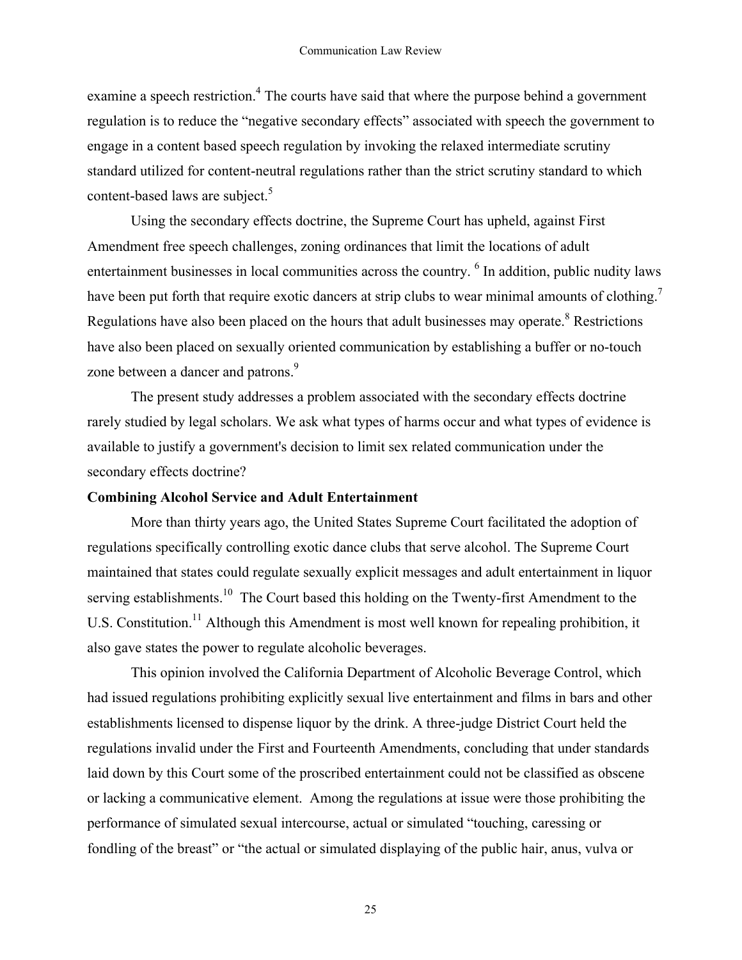examine a speech restriction.<sup>4</sup> The courts have said that where the purpose behind a government regulation is to reduce the "negative secondary effects" associated with speech the government to engage in a content based speech regulation by invoking the relaxed intermediate scrutiny standard utilized for content-neutral regulations rather than the strict scrutiny standard to which content-based laws are subject.<sup>5</sup>

Using the secondary effects doctrine, the Supreme Court has upheld, against First Amendment free speech challenges, zoning ordinances that limit the locations of adult entertainment businesses in local communities across the country. <sup>6</sup> In addition, public nudity laws have been put forth that require exotic dancers at strip clubs to wear minimal amounts of clothing.<sup>7</sup> Regulations have also been placed on the hours that adult businesses may operate.<sup>8</sup> Restrictions have also been placed on sexually oriented communication by establishing a buffer or no-touch zone between a dancer and patrons.<sup>9</sup>

The present study addresses a problem associated with the secondary effects doctrine rarely studied by legal scholars. We ask what types of harms occur and what types of evidence is available to justify a government's decision to limit sex related communication under the secondary effects doctrine?

## **Combining Alcohol Service and Adult Entertainment**

More than thirty years ago, the United States Supreme Court facilitated the adoption of regulations specifically controlling exotic dance clubs that serve alcohol. The Supreme Court maintained that states could regulate sexually explicit messages and adult entertainment in liquor serving establishments.<sup>10</sup> The Court based this holding on the Twenty-first Amendment to the U.S. Constitution.<sup>11</sup> Although this Amendment is most well known for repealing prohibition, it also gave states the power to regulate alcoholic beverages.

This opinion involved the California Department of Alcoholic Beverage Control, which had issued regulations prohibiting explicitly sexual live entertainment and films in bars and other establishments licensed to dispense liquor by the drink. A three-judge District Court held the regulations invalid under the First and Fourteenth Amendments, concluding that under standards laid down by this Court some of the proscribed entertainment could not be classified as obscene or lacking a communicative element. Among the regulations at issue were those prohibiting the performance of simulated sexual intercourse, actual or simulated "touching, caressing or fondling of the breast" or "the actual or simulated displaying of the public hair, anus, vulva or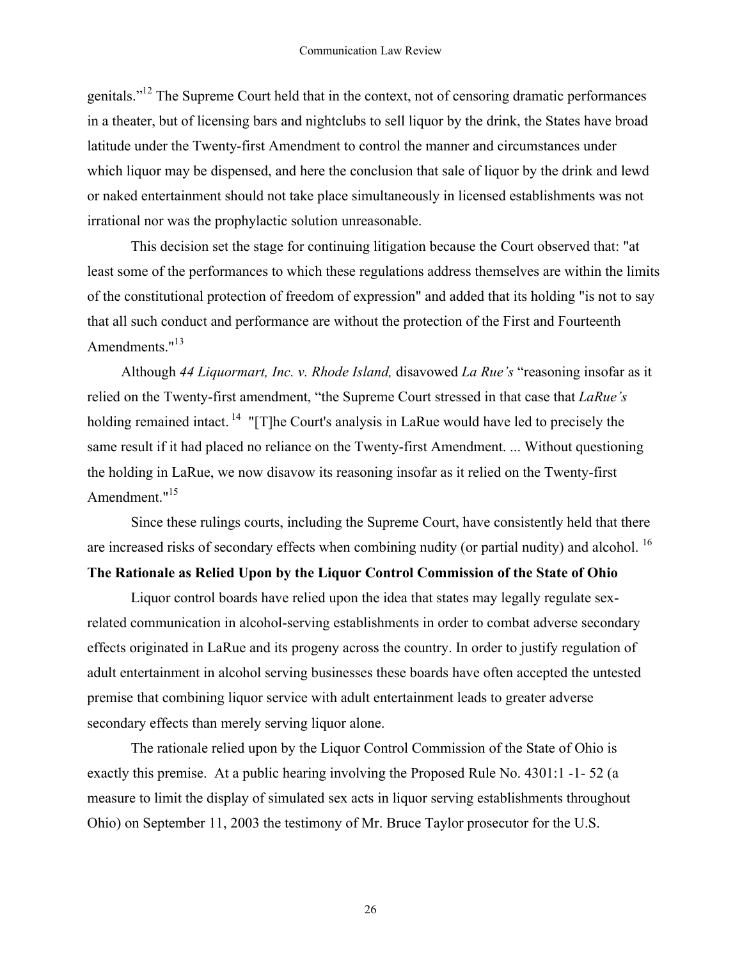genitals."12 The Supreme Court held that in the context, not of censoring dramatic performances in a theater, but of licensing bars and nightclubs to sell liquor by the drink, the States have broad latitude under the Twenty-first Amendment to control the manner and circumstances under which liquor may be dispensed, and here the conclusion that sale of liquor by the drink and lewd or naked entertainment should not take place simultaneously in licensed establishments was not irrational nor was the prophylactic solution unreasonable.

This decision set the stage for continuing litigation because the Court observed that: "at least some of the performances to which these regulations address themselves are within the limits of the constitutional protection of freedom of expression" and added that its holding "is not to say that all such conduct and performance are without the protection of the First and Fourteenth Amendments."<sup>13</sup>

Although *44 Liquormart, Inc. v. Rhode Island,* disavowed *La Rue's* "reasoning insofar as it relied on the Twenty-first amendment, "the Supreme Court stressed in that case that *LaRue's* holding remained intact.  $14$  "[T]he Court's analysis in LaRue would have led to precisely the same result if it had placed no reliance on the Twenty-first Amendment. ... Without questioning the holding in LaRue, we now disavow its reasoning insofar as it relied on the Twenty-first Amendment."<sup>15</sup>

Since these rulings courts, including the Supreme Court, have consistently held that there are increased risks of secondary effects when combining nudity (or partial nudity) and alcohol. <sup>16</sup>

# **The Rationale as Relied Upon by the Liquor Control Commission of the State of Ohio**

Liquor control boards have relied upon the idea that states may legally regulate sexrelated communication in alcohol-serving establishments in order to combat adverse secondary effects originated in LaRue and its progeny across the country. In order to justify regulation of adult entertainment in alcohol serving businesses these boards have often accepted the untested premise that combining liquor service with adult entertainment leads to greater adverse secondary effects than merely serving liquor alone.

The rationale relied upon by the Liquor Control Commission of the State of Ohio is exactly this premise. At a public hearing involving the Proposed Rule No. 4301:1 -1- 52 (a measure to limit the display of simulated sex acts in liquor serving establishments throughout Ohio) on September 11, 2003 the testimony of Mr. Bruce Taylor prosecutor for the U.S.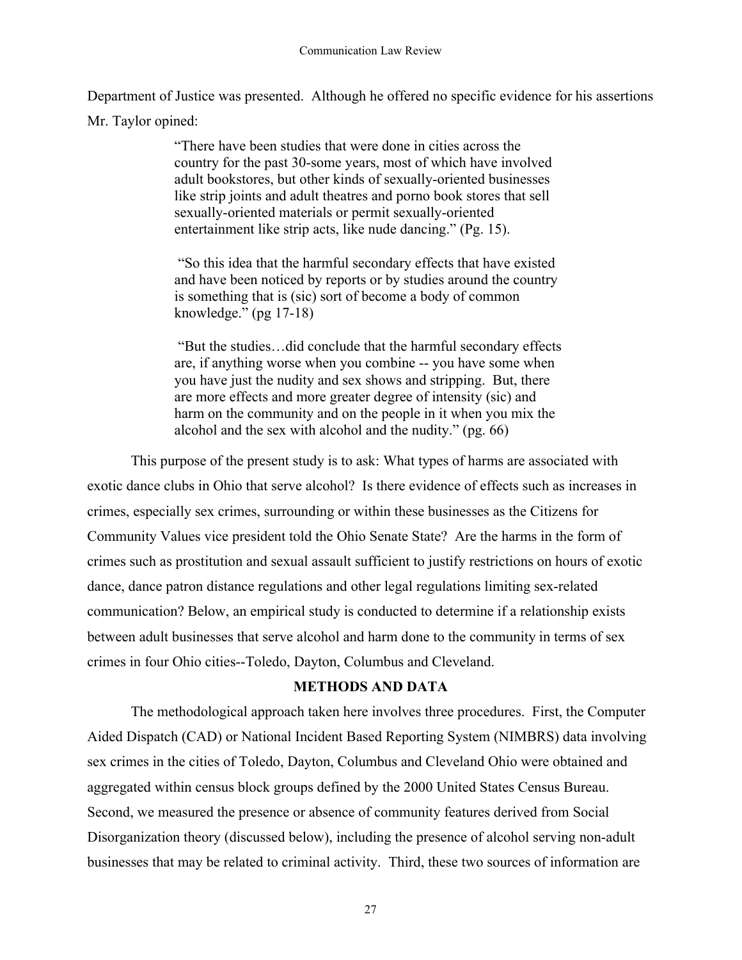Department of Justice was presented. Although he offered no specific evidence for his assertions Mr. Taylor opined:

> "There have been studies that were done in cities across the country for the past 30-some years, most of which have involved adult bookstores, but other kinds of sexually-oriented businesses like strip joints and adult theatres and porno book stores that sell sexually-oriented materials or permit sexually-oriented entertainment like strip acts, like nude dancing." (Pg. 15).

 "So this idea that the harmful secondary effects that have existed and have been noticed by reports or by studies around the country is something that is (sic) sort of become a body of common knowledge." (pg 17-18)

 "But the studies…did conclude that the harmful secondary effects are, if anything worse when you combine -- you have some when you have just the nudity and sex shows and stripping. But, there are more effects and more greater degree of intensity (sic) and harm on the community and on the people in it when you mix the alcohol and the sex with alcohol and the nudity." (pg. 66)

This purpose of the present study is to ask: What types of harms are associated with exotic dance clubs in Ohio that serve alcohol? Is there evidence of effects such as increases in crimes, especially sex crimes, surrounding or within these businesses as the Citizens for Community Values vice president told the Ohio Senate State? Are the harms in the form of crimes such as prostitution and sexual assault sufficient to justify restrictions on hours of exotic dance, dance patron distance regulations and other legal regulations limiting sex-related communication? Below, an empirical study is conducted to determine if a relationship exists between adult businesses that serve alcohol and harm done to the community in terms of sex crimes in four Ohio cities--Toledo, Dayton, Columbus and Cleveland.

# **METHODS AND DATA**

The methodological approach taken here involves three procedures. First, the Computer Aided Dispatch (CAD) or National Incident Based Reporting System (NIMBRS) data involving sex crimes in the cities of Toledo, Dayton, Columbus and Cleveland Ohio were obtained and aggregated within census block groups defined by the 2000 United States Census Bureau. Second, we measured the presence or absence of community features derived from Social Disorganization theory (discussed below), including the presence of alcohol serving non-adult businesses that may be related to criminal activity. Third, these two sources of information are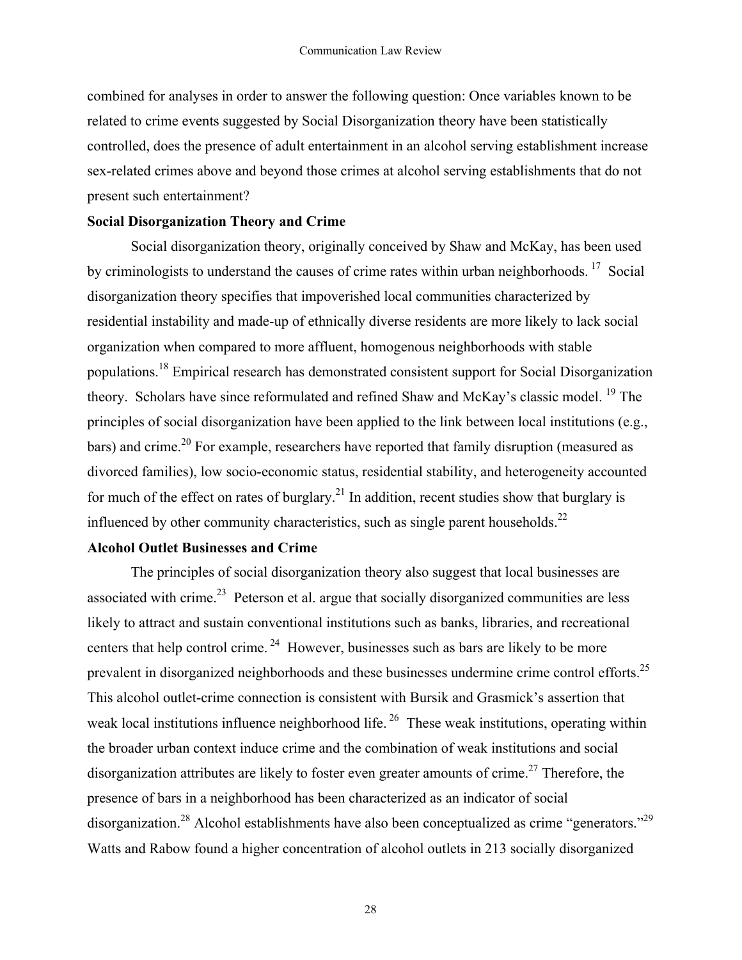combined for analyses in order to answer the following question: Once variables known to be related to crime events suggested by Social Disorganization theory have been statistically controlled, does the presence of adult entertainment in an alcohol serving establishment increase sex-related crimes above and beyond those crimes at alcohol serving establishments that do not present such entertainment?

# **Social Disorganization Theory and Crime**

Social disorganization theory, originally conceived by Shaw and McKay, has been used by criminologists to understand the causes of crime rates within urban neighborhoods.<sup>17</sup> Social disorganization theory specifies that impoverished local communities characterized by residential instability and made-up of ethnically diverse residents are more likely to lack social organization when compared to more affluent, homogenous neighborhoods with stable populations.18 Empirical research has demonstrated consistent support for Social Disorganization theory. Scholars have since reformulated and refined Shaw and McKay's classic model.<sup>19</sup> The principles of social disorganization have been applied to the link between local institutions (e.g., bars) and crime.<sup>20</sup> For example, researchers have reported that family disruption (measured as divorced families), low socio-economic status, residential stability, and heterogeneity accounted for much of the effect on rates of burglary.<sup>21</sup> In addition, recent studies show that burglary is influenced by other community characteristics, such as single parent households.<sup>22</sup>

# **Alcohol Outlet Businesses and Crime**

The principles of social disorganization theory also suggest that local businesses are associated with crime.<sup>23</sup> Peterson et al. argue that socially disorganized communities are less likely to attract and sustain conventional institutions such as banks, libraries, and recreational centers that help control crime.<sup>24</sup> However, businesses such as bars are likely to be more prevalent in disorganized neighborhoods and these businesses undermine crime control efforts.<sup>25</sup> This alcohol outlet-crime connection is consistent with Bursik and Grasmick's assertion that weak local institutions influence neighborhood life.<sup>26</sup> These weak institutions, operating within the broader urban context induce crime and the combination of weak institutions and social disorganization attributes are likely to foster even greater amounts of crime.<sup>27</sup> Therefore, the presence of bars in a neighborhood has been characterized as an indicator of social disorganization.<sup>28</sup> Alcohol establishments have also been conceptualized as crime "generators."<sup>29</sup> Watts and Rabow found a higher concentration of alcohol outlets in 213 socially disorganized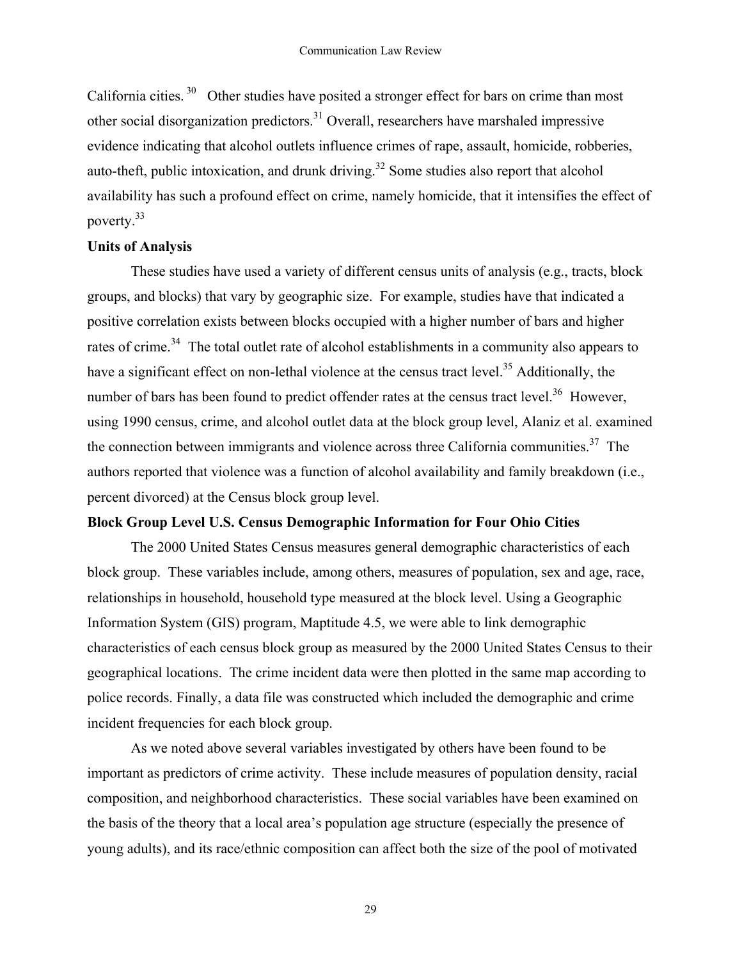California cities.  $30$  Other studies have posited a stronger effect for bars on crime than most other social disorganization predictors.<sup>31</sup> Overall, researchers have marshaled impressive evidence indicating that alcohol outlets influence crimes of rape, assault, homicide, robberies, auto-theft, public intoxication, and drunk driving.<sup>32</sup> Some studies also report that alcohol availability has such a profound effect on crime, namely homicide, that it intensifies the effect of poverty.33

# **Units of Analysis**

These studies have used a variety of different census units of analysis (e.g., tracts, block groups, and blocks) that vary by geographic size. For example, studies have that indicated a positive correlation exists between blocks occupied with a higher number of bars and higher rates of crime.<sup>34</sup> The total outlet rate of alcohol establishments in a community also appears to have a significant effect on non-lethal violence at the census tract level.<sup>35</sup> Additionally, the number of bars has been found to predict offender rates at the census tract level.<sup>36</sup> However, using 1990 census, crime, and alcohol outlet data at the block group level, Alaniz et al. examined the connection between immigrants and violence across three California communities.<sup>37</sup> The authors reported that violence was a function of alcohol availability and family breakdown (i.e., percent divorced) at the Census block group level.

# **Block Group Level U.S. Census Demographic Information for Four Ohio Cities**

The 2000 United States Census measures general demographic characteristics of each block group. These variables include, among others, measures of population, sex and age, race, relationships in household, household type measured at the block level. Using a Geographic Information System (GIS) program, Maptitude 4.5, we were able to link demographic characteristics of each census block group as measured by the 2000 United States Census to their geographical locations. The crime incident data were then plotted in the same map according to police records. Finally, a data file was constructed which included the demographic and crime incident frequencies for each block group.

As we noted above several variables investigated by others have been found to be important as predictors of crime activity. These include measures of population density, racial composition, and neighborhood characteristics. These social variables have been examined on the basis of the theory that a local area's population age structure (especially the presence of young adults), and its race/ethnic composition can affect both the size of the pool of motivated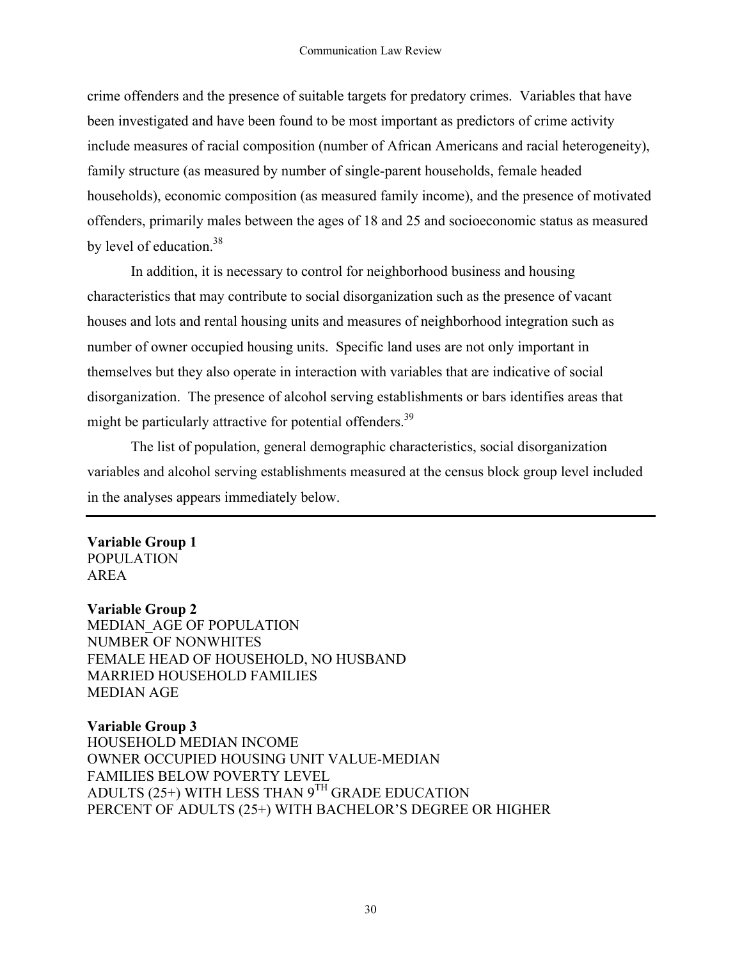crime offenders and the presence of suitable targets for predatory crimes. Variables that have been investigated and have been found to be most important as predictors of crime activity include measures of racial composition (number of African Americans and racial heterogeneity), family structure (as measured by number of single-parent households, female headed households), economic composition (as measured family income), and the presence of motivated offenders, primarily males between the ages of 18 and 25 and socioeconomic status as measured by level of education.<sup>38</sup>

In addition, it is necessary to control for neighborhood business and housing characteristics that may contribute to social disorganization such as the presence of vacant houses and lots and rental housing units and measures of neighborhood integration such as number of owner occupied housing units. Specific land uses are not only important in themselves but they also operate in interaction with variables that are indicative of social disorganization. The presence of alcohol serving establishments or bars identifies areas that might be particularly attractive for potential offenders.<sup>39</sup>

The list of population, general demographic characteristics, social disorganization variables and alcohol serving establishments measured at the census block group level included in the analyses appears immediately below.

## **Variable Group 1** POPULATION AREA

# **Variable Group 2**

MEDIAN\_AGE OF POPULATION NUMBER OF NONWHITES FEMALE HEAD OF HOUSEHOLD, NO HUSBAND MARRIED HOUSEHOLD FAMILIES MEDIAN AGE

# **Variable Group 3**

HOUSEHOLD MEDIAN INCOME OWNER OCCUPIED HOUSING UNIT VALUE-MEDIAN FAMILIES BELOW POVERTY LEVEL ADULTS (25+) WITH LESS THAN  $9^{TH}$  GRADE EDUCATION PERCENT OF ADULTS (25+) WITH BACHELOR'S DEGREE OR HIGHER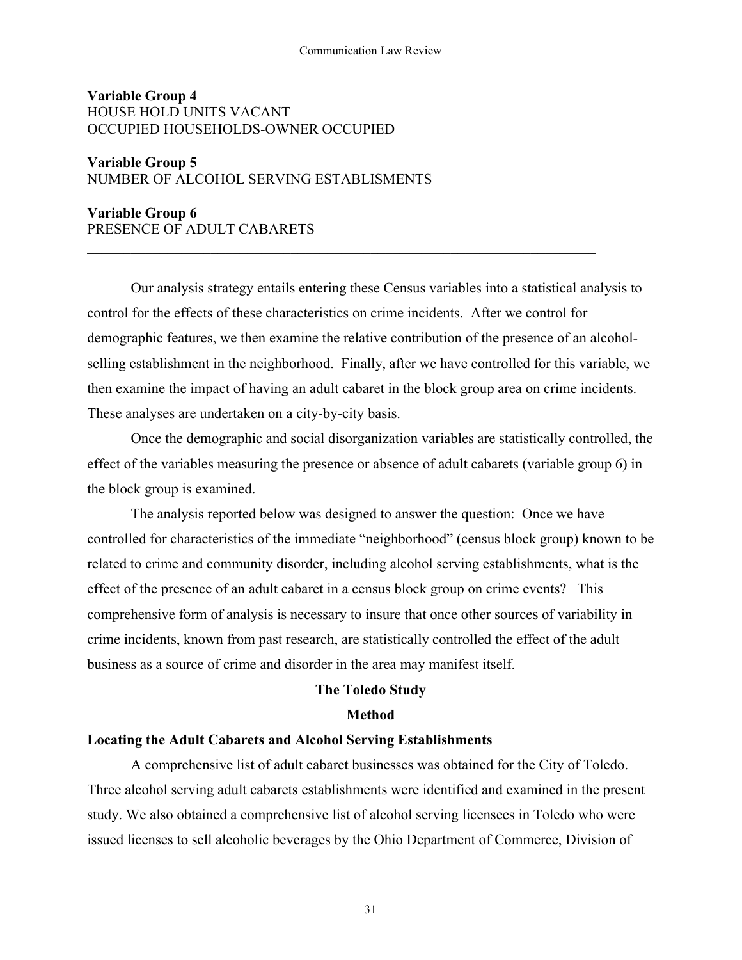#### Communication Law Review

# **Variable Group 4** HOUSE HOLD UNITS VACANT OCCUPIED HOUSEHOLDS-OWNER OCCUPIED

# **Variable Group 5** NUMBER OF ALCOHOL SERVING ESTABLISMENTS

# **Variable Group 6** PRESENCE OF ADULT CABARETS

Our analysis strategy entails entering these Census variables into a statistical analysis to control for the effects of these characteristics on crime incidents. After we control for demographic features, we then examine the relative contribution of the presence of an alcoholselling establishment in the neighborhood. Finally, after we have controlled for this variable, we then examine the impact of having an adult cabaret in the block group area on crime incidents. These analyses are undertaken on a city-by-city basis.

 $\mathcal{L}_\text{max}$  and  $\mathcal{L}_\text{max}$  and  $\mathcal{L}_\text{max}$  and  $\mathcal{L}_\text{max}$  and  $\mathcal{L}_\text{max}$  and  $\mathcal{L}_\text{max}$ 

Once the demographic and social disorganization variables are statistically controlled, the effect of the variables measuring the presence or absence of adult cabarets (variable group 6) in the block group is examined.

The analysis reported below was designed to answer the question: Once we have controlled for characteristics of the immediate "neighborhood" (census block group) known to be related to crime and community disorder, including alcohol serving establishments, what is the effect of the presence of an adult cabaret in a census block group on crime events? This comprehensive form of analysis is necessary to insure that once other sources of variability in crime incidents, known from past research, are statistically controlled the effect of the adult business as a source of crime and disorder in the area may manifest itself.

## **The Toledo Study**

#### **Method**

## **Locating the Adult Cabarets and Alcohol Serving Establishments**

A comprehensive list of adult cabaret businesses was obtained for the City of Toledo. Three alcohol serving adult cabarets establishments were identified and examined in the present study. We also obtained a comprehensive list of alcohol serving licensees in Toledo who were issued licenses to sell alcoholic beverages by the Ohio Department of Commerce, Division of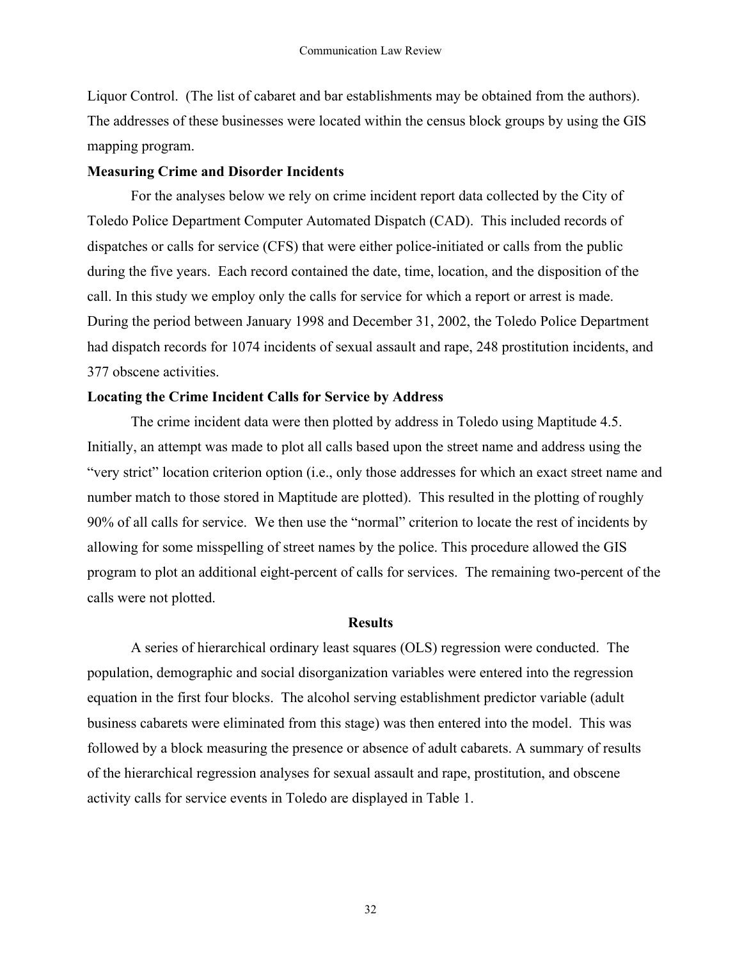Liquor Control. (The list of cabaret and bar establishments may be obtained from the authors). The addresses of these businesses were located within the census block groups by using the GIS mapping program.

# **Measuring Crime and Disorder Incidents**

For the analyses below we rely on crime incident report data collected by the City of Toledo Police Department Computer Automated Dispatch (CAD). This included records of dispatches or calls for service (CFS) that were either police-initiated or calls from the public during the five years. Each record contained the date, time, location, and the disposition of the call. In this study we employ only the calls for service for which a report or arrest is made. During the period between January 1998 and December 31, 2002, the Toledo Police Department had dispatch records for 1074 incidents of sexual assault and rape, 248 prostitution incidents, and 377 obscene activities.

# **Locating the Crime Incident Calls for Service by Address**

The crime incident data were then plotted by address in Toledo using Maptitude 4.5. Initially, an attempt was made to plot all calls based upon the street name and address using the "very strict" location criterion option (i.e., only those addresses for which an exact street name and number match to those stored in Maptitude are plotted). This resulted in the plotting of roughly 90% of all calls for service. We then use the "normal" criterion to locate the rest of incidents by allowing for some misspelling of street names by the police. This procedure allowed the GIS program to plot an additional eight-percent of calls for services. The remaining two-percent of the calls were not plotted.

# **Results**

A series of hierarchical ordinary least squares (OLS) regression were conducted. The population, demographic and social disorganization variables were entered into the regression equation in the first four blocks. The alcohol serving establishment predictor variable (adult business cabarets were eliminated from this stage) was then entered into the model. This was followed by a block measuring the presence or absence of adult cabarets. A summary of results of the hierarchical regression analyses for sexual assault and rape, prostitution, and obscene activity calls for service events in Toledo are displayed in Table 1.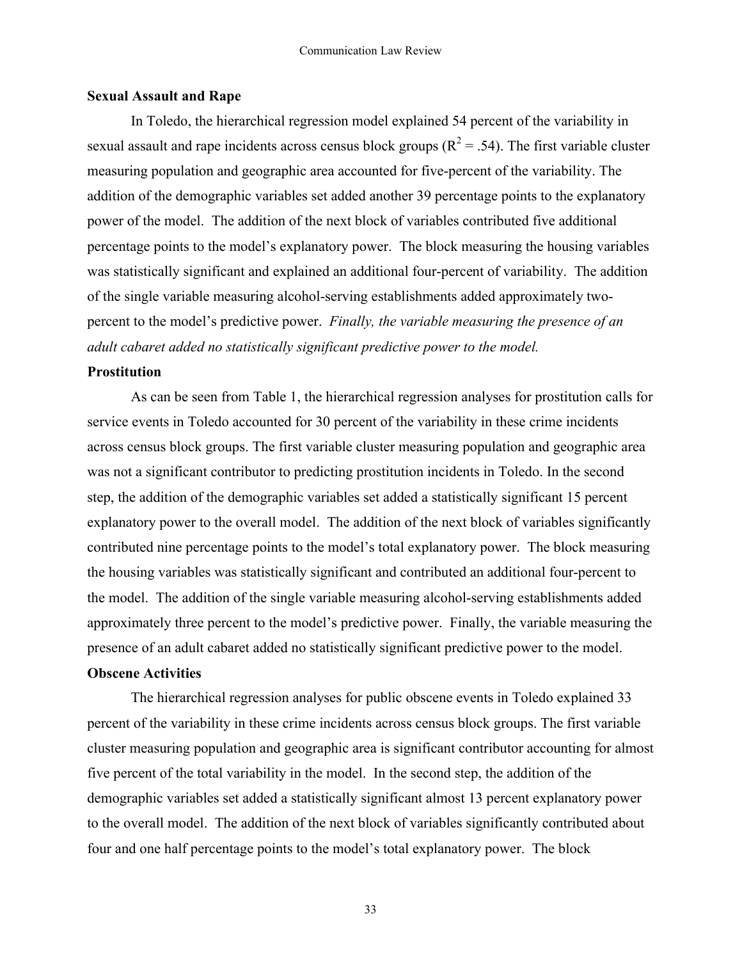## **Sexual Assault and Rape**

In Toledo, the hierarchical regression model explained 54 percent of the variability in sexual assault and rape incidents across census block groups ( $R^2 = .54$ ). The first variable cluster measuring population and geographic area accounted for five-percent of the variability. The addition of the demographic variables set added another 39 percentage points to the explanatory power of the model. The addition of the next block of variables contributed five additional percentage points to the model's explanatory power. The block measuring the housing variables was statistically significant and explained an additional four-percent of variability. The addition of the single variable measuring alcohol-serving establishments added approximately twopercent to the model's predictive power. *Finally, the variable measuring the presence of an adult cabaret added no statistically significant predictive power to the model.*

## **Prostitution**

As can be seen from Table 1, the hierarchical regression analyses for prostitution calls for service events in Toledo accounted for 30 percent of the variability in these crime incidents across census block groups. The first variable cluster measuring population and geographic area was not a significant contributor to predicting prostitution incidents in Toledo. In the second step, the addition of the demographic variables set added a statistically significant 15 percent explanatory power to the overall model. The addition of the next block of variables significantly contributed nine percentage points to the model's total explanatory power. The block measuring the housing variables was statistically significant and contributed an additional four-percent to the model. The addition of the single variable measuring alcohol-serving establishments added approximately three percent to the model's predictive power. Finally, the variable measuring the presence of an adult cabaret added no statistically significant predictive power to the model.

## **Obscene Activities**

The hierarchical regression analyses for public obscene events in Toledo explained 33 percent of the variability in these crime incidents across census block groups. The first variable cluster measuring population and geographic area is significant contributor accounting for almost five percent of the total variability in the model. In the second step, the addition of the demographic variables set added a statistically significant almost 13 percent explanatory power to the overall model. The addition of the next block of variables significantly contributed about four and one half percentage points to the model's total explanatory power. The block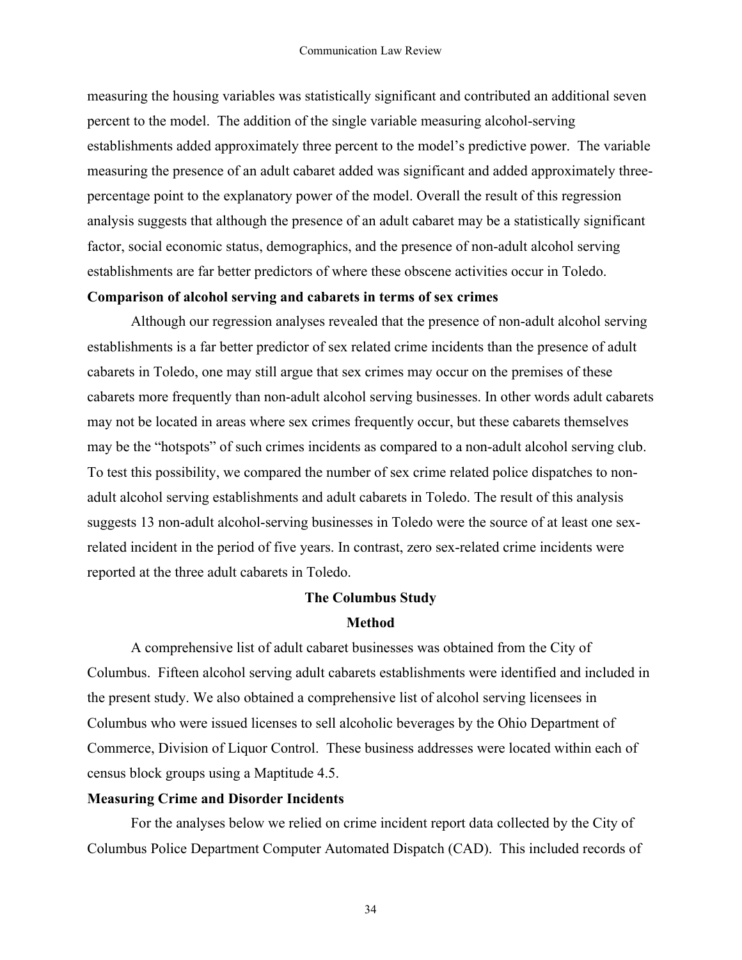measuring the housing variables was statistically significant and contributed an additional seven percent to the model. The addition of the single variable measuring alcohol-serving establishments added approximately three percent to the model's predictive power. The variable measuring the presence of an adult cabaret added was significant and added approximately threepercentage point to the explanatory power of the model. Overall the result of this regression analysis suggests that although the presence of an adult cabaret may be a statistically significant factor, social economic status, demographics, and the presence of non-adult alcohol serving establishments are far better predictors of where these obscene activities occur in Toledo.

# **Comparison of alcohol serving and cabarets in terms of sex crimes**

Although our regression analyses revealed that the presence of non-adult alcohol serving establishments is a far better predictor of sex related crime incidents than the presence of adult cabarets in Toledo, one may still argue that sex crimes may occur on the premises of these cabarets more frequently than non-adult alcohol serving businesses. In other words adult cabarets may not be located in areas where sex crimes frequently occur, but these cabarets themselves may be the "hotspots" of such crimes incidents as compared to a non-adult alcohol serving club. To test this possibility, we compared the number of sex crime related police dispatches to nonadult alcohol serving establishments and adult cabarets in Toledo. The result of this analysis suggests 13 non-adult alcohol-serving businesses in Toledo were the source of at least one sexrelated incident in the period of five years. In contrast, zero sex-related crime incidents were reported at the three adult cabarets in Toledo.

# **The Columbus Study**

# **Method**

A comprehensive list of adult cabaret businesses was obtained from the City of Columbus. Fifteen alcohol serving adult cabarets establishments were identified and included in the present study. We also obtained a comprehensive list of alcohol serving licensees in Columbus who were issued licenses to sell alcoholic beverages by the Ohio Department of Commerce, Division of Liquor Control. These business addresses were located within each of census block groups using a Maptitude 4.5.

## **Measuring Crime and Disorder Incidents**

For the analyses below we relied on crime incident report data collected by the City of Columbus Police Department Computer Automated Dispatch (CAD). This included records of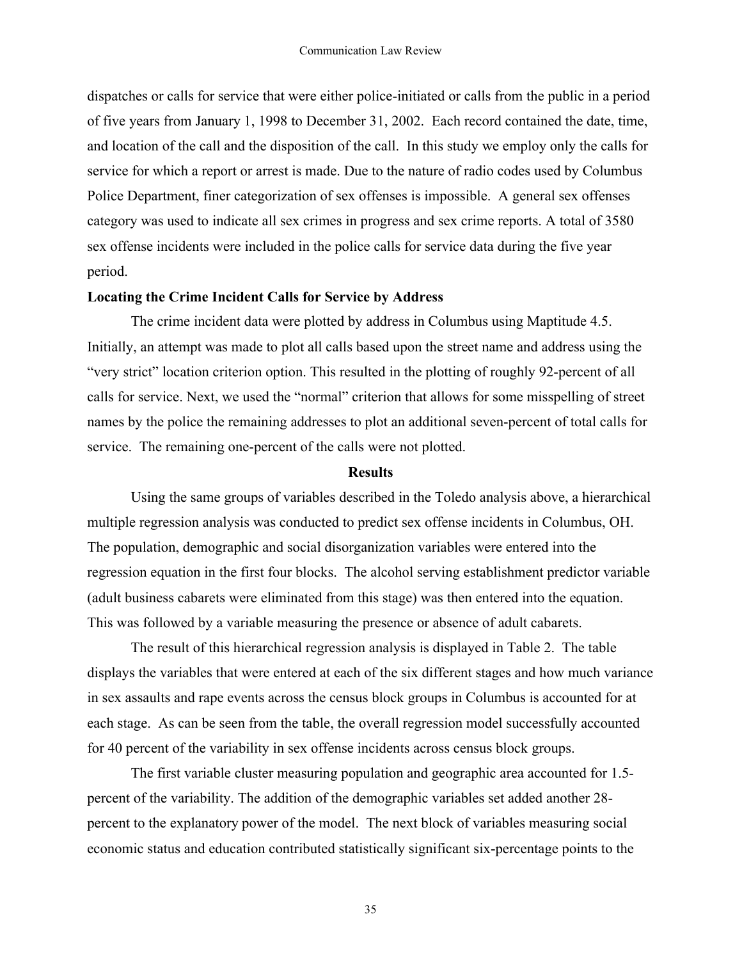dispatches or calls for service that were either police-initiated or calls from the public in a period of five years from January 1, 1998 to December 31, 2002. Each record contained the date, time, and location of the call and the disposition of the call. In this study we employ only the calls for service for which a report or arrest is made. Due to the nature of radio codes used by Columbus Police Department, finer categorization of sex offenses is impossible. A general sex offenses category was used to indicate all sex crimes in progress and sex crime reports. A total of 3580 sex offense incidents were included in the police calls for service data during the five year period.

## **Locating the Crime Incident Calls for Service by Address**

The crime incident data were plotted by address in Columbus using Maptitude 4.5. Initially, an attempt was made to plot all calls based upon the street name and address using the "very strict" location criterion option. This resulted in the plotting of roughly 92-percent of all calls for service. Next, we used the "normal" criterion that allows for some misspelling of street names by the police the remaining addresses to plot an additional seven-percent of total calls for service. The remaining one-percent of the calls were not plotted.

#### **Results**

Using the same groups of variables described in the Toledo analysis above, a hierarchical multiple regression analysis was conducted to predict sex offense incidents in Columbus, OH. The population, demographic and social disorganization variables were entered into the regression equation in the first four blocks. The alcohol serving establishment predictor variable (adult business cabarets were eliminated from this stage) was then entered into the equation. This was followed by a variable measuring the presence or absence of adult cabarets.

The result of this hierarchical regression analysis is displayed in Table 2. The table displays the variables that were entered at each of the six different stages and how much variance in sex assaults and rape events across the census block groups in Columbus is accounted for at each stage. As can be seen from the table, the overall regression model successfully accounted for 40 percent of the variability in sex offense incidents across census block groups.

The first variable cluster measuring population and geographic area accounted for 1.5 percent of the variability. The addition of the demographic variables set added another 28 percent to the explanatory power of the model. The next block of variables measuring social economic status and education contributed statistically significant six-percentage points to the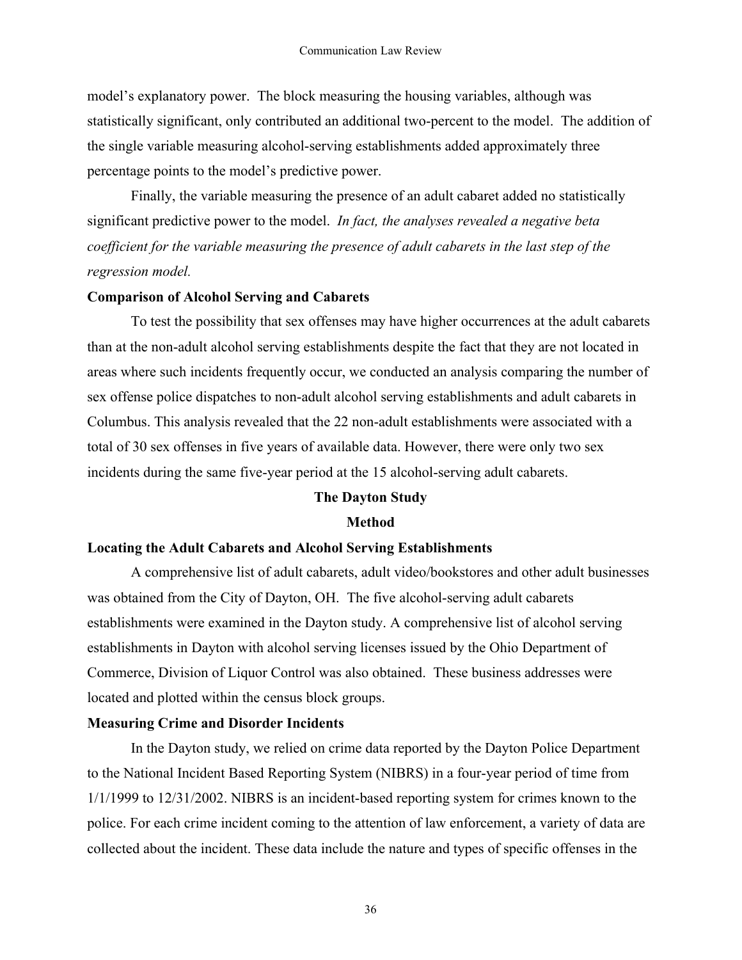model's explanatory power. The block measuring the housing variables, although was statistically significant, only contributed an additional two-percent to the model. The addition of the single variable measuring alcohol-serving establishments added approximately three percentage points to the model's predictive power.

Finally, the variable measuring the presence of an adult cabaret added no statistically significant predictive power to the model. *In fact, the analyses revealed a negative beta coefficient for the variable measuring the presence of adult cabarets in the last step of the regression model.*

## **Comparison of Alcohol Serving and Cabarets**

To test the possibility that sex offenses may have higher occurrences at the adult cabarets than at the non-adult alcohol serving establishments despite the fact that they are not located in areas where such incidents frequently occur, we conducted an analysis comparing the number of sex offense police dispatches to non-adult alcohol serving establishments and adult cabarets in Columbus. This analysis revealed that the 22 non-adult establishments were associated with a total of 30 sex offenses in five years of available data. However, there were only two sex incidents during the same five-year period at the 15 alcohol-serving adult cabarets.

## **The Dayton Study**

## **Method**

## **Locating the Adult Cabarets and Alcohol Serving Establishments**

A comprehensive list of adult cabarets, adult video/bookstores and other adult businesses was obtained from the City of Dayton, OH. The five alcohol-serving adult cabarets establishments were examined in the Dayton study. A comprehensive list of alcohol serving establishments in Dayton with alcohol serving licenses issued by the Ohio Department of Commerce, Division of Liquor Control was also obtained. These business addresses were located and plotted within the census block groups.

### **Measuring Crime and Disorder Incidents**

In the Dayton study, we relied on crime data reported by the Dayton Police Department to the National Incident Based Reporting System (NIBRS) in a four-year period of time from 1/1/1999 to 12/31/2002. NIBRS is an incident-based reporting system for crimes known to the police. For each crime incident coming to the attention of law enforcement, a variety of data are collected about the incident. These data include the nature and types of specific offenses in the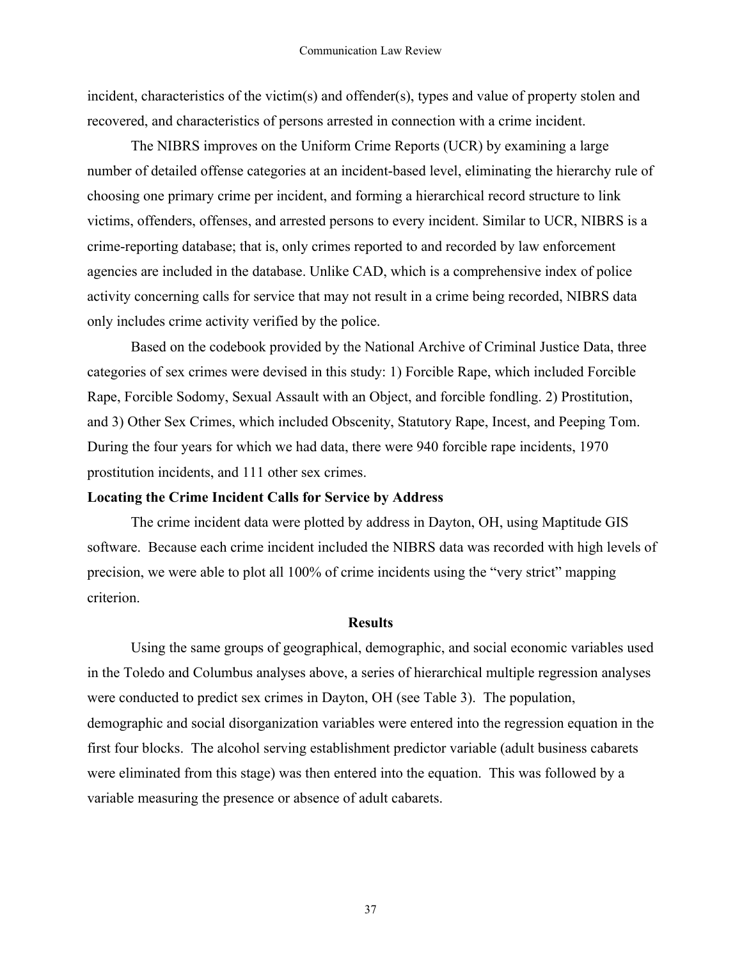incident, characteristics of the victim(s) and offender(s), types and value of property stolen and recovered, and characteristics of persons arrested in connection with a crime incident.

The NIBRS improves on the Uniform Crime Reports (UCR) by examining a large number of detailed offense categories at an incident-based level, eliminating the hierarchy rule of choosing one primary crime per incident, and forming a hierarchical record structure to link victims, offenders, offenses, and arrested persons to every incident. Similar to UCR, NIBRS is a crime-reporting database; that is, only crimes reported to and recorded by law enforcement agencies are included in the database. Unlike CAD, which is a comprehensive index of police activity concerning calls for service that may not result in a crime being recorded, NIBRS data only includes crime activity verified by the police.

Based on the codebook provided by the National Archive of Criminal Justice Data, three categories of sex crimes were devised in this study: 1) Forcible Rape, which included Forcible Rape, Forcible Sodomy, Sexual Assault with an Object, and forcible fondling. 2) Prostitution, and 3) Other Sex Crimes, which included Obscenity, Statutory Rape, Incest, and Peeping Tom. During the four years for which we had data, there were 940 forcible rape incidents, 1970 prostitution incidents, and 111 other sex crimes.

## **Locating the Crime Incident Calls for Service by Address**

The crime incident data were plotted by address in Dayton, OH, using Maptitude GIS software. Because each crime incident included the NIBRS data was recorded with high levels of precision, we were able to plot all 100% of crime incidents using the "very strict" mapping criterion.

# **Results**

Using the same groups of geographical, demographic, and social economic variables used in the Toledo and Columbus analyses above, a series of hierarchical multiple regression analyses were conducted to predict sex crimes in Dayton, OH (see Table 3). The population, demographic and social disorganization variables were entered into the regression equation in the first four blocks. The alcohol serving establishment predictor variable (adult business cabarets were eliminated from this stage) was then entered into the equation. This was followed by a variable measuring the presence or absence of adult cabarets.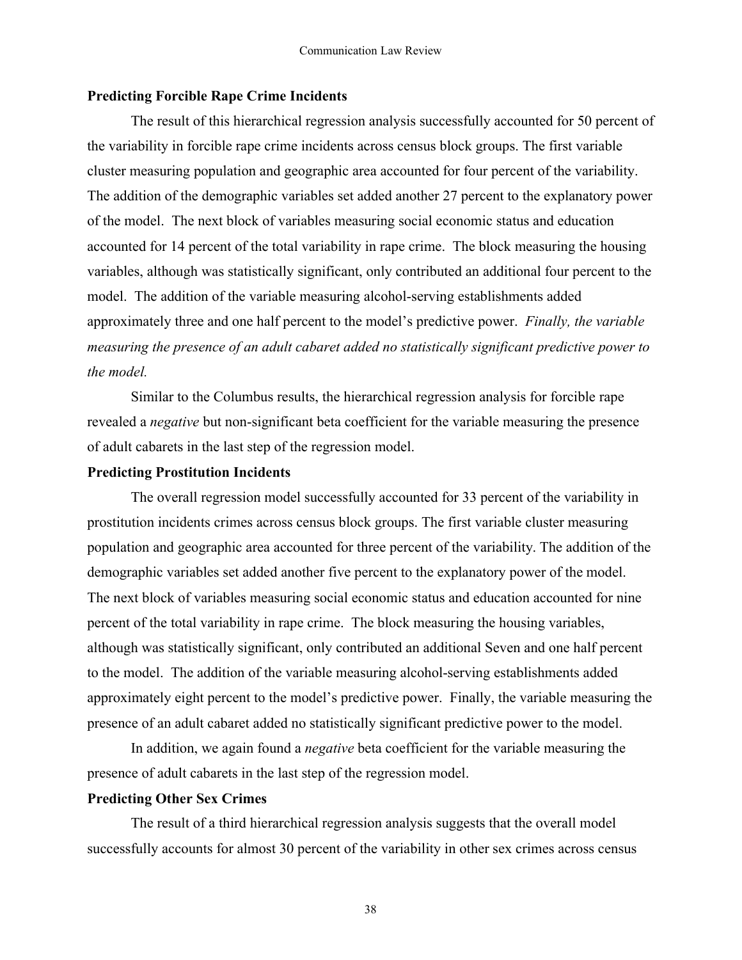## **Predicting Forcible Rape Crime Incidents**

The result of this hierarchical regression analysis successfully accounted for 50 percent of the variability in forcible rape crime incidents across census block groups. The first variable cluster measuring population and geographic area accounted for four percent of the variability. The addition of the demographic variables set added another 27 percent to the explanatory power of the model. The next block of variables measuring social economic status and education accounted for 14 percent of the total variability in rape crime. The block measuring the housing variables, although was statistically significant, only contributed an additional four percent to the model. The addition of the variable measuring alcohol-serving establishments added approximately three and one half percent to the model's predictive power. *Finally, the variable measuring the presence of an adult cabaret added no statistically significant predictive power to the model.*

Similar to the Columbus results, the hierarchical regression analysis for forcible rape revealed a *negative* but non-significant beta coefficient for the variable measuring the presence of adult cabarets in the last step of the regression model.

## **Predicting Prostitution Incidents**

The overall regression model successfully accounted for 33 percent of the variability in prostitution incidents crimes across census block groups. The first variable cluster measuring population and geographic area accounted for three percent of the variability. The addition of the demographic variables set added another five percent to the explanatory power of the model. The next block of variables measuring social economic status and education accounted for nine percent of the total variability in rape crime. The block measuring the housing variables, although was statistically significant, only contributed an additional Seven and one half percent to the model. The addition of the variable measuring alcohol-serving establishments added approximately eight percent to the model's predictive power. Finally, the variable measuring the presence of an adult cabaret added no statistically significant predictive power to the model.

In addition, we again found a *negative* beta coefficient for the variable measuring the presence of adult cabarets in the last step of the regression model.

## **Predicting Other Sex Crimes**

The result of a third hierarchical regression analysis suggests that the overall model successfully accounts for almost 30 percent of the variability in other sex crimes across census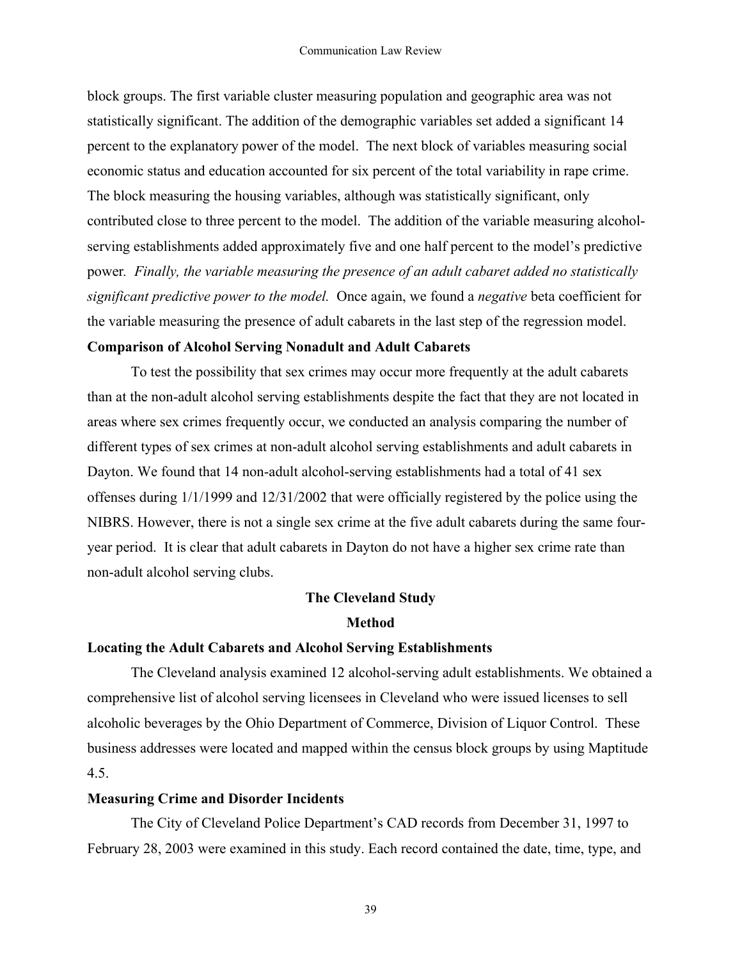block groups. The first variable cluster measuring population and geographic area was not statistically significant. The addition of the demographic variables set added a significant 14 percent to the explanatory power of the model. The next block of variables measuring social economic status and education accounted for six percent of the total variability in rape crime. The block measuring the housing variables, although was statistically significant, only contributed close to three percent to the model. The addition of the variable measuring alcoholserving establishments added approximately five and one half percent to the model's predictive power*. Finally, the variable measuring the presence of an adult cabaret added no statistically significant predictive power to the model.* Once again, we found a *negative* beta coefficient for the variable measuring the presence of adult cabarets in the last step of the regression model.

# **Comparison of Alcohol Serving Nonadult and Adult Cabarets**

To test the possibility that sex crimes may occur more frequently at the adult cabarets than at the non-adult alcohol serving establishments despite the fact that they are not located in areas where sex crimes frequently occur, we conducted an analysis comparing the number of different types of sex crimes at non-adult alcohol serving establishments and adult cabarets in Dayton. We found that 14 non-adult alcohol-serving establishments had a total of 41 sex offenses during 1/1/1999 and 12/31/2002 that were officially registered by the police using the NIBRS. However, there is not a single sex crime at the five adult cabarets during the same fouryear period. It is clear that adult cabarets in Dayton do not have a higher sex crime rate than non-adult alcohol serving clubs.

# **The Cleveland Study**

## **Method**

# **Locating the Adult Cabarets and Alcohol Serving Establishments**

The Cleveland analysis examined 12 alcohol-serving adult establishments. We obtained a comprehensive list of alcohol serving licensees in Cleveland who were issued licenses to sell alcoholic beverages by the Ohio Department of Commerce, Division of Liquor Control. These business addresses were located and mapped within the census block groups by using Maptitude 4.5.

# **Measuring Crime and Disorder Incidents**

The City of Cleveland Police Department's CAD records from December 31, 1997 to February 28, 2003 were examined in this study. Each record contained the date, time, type, and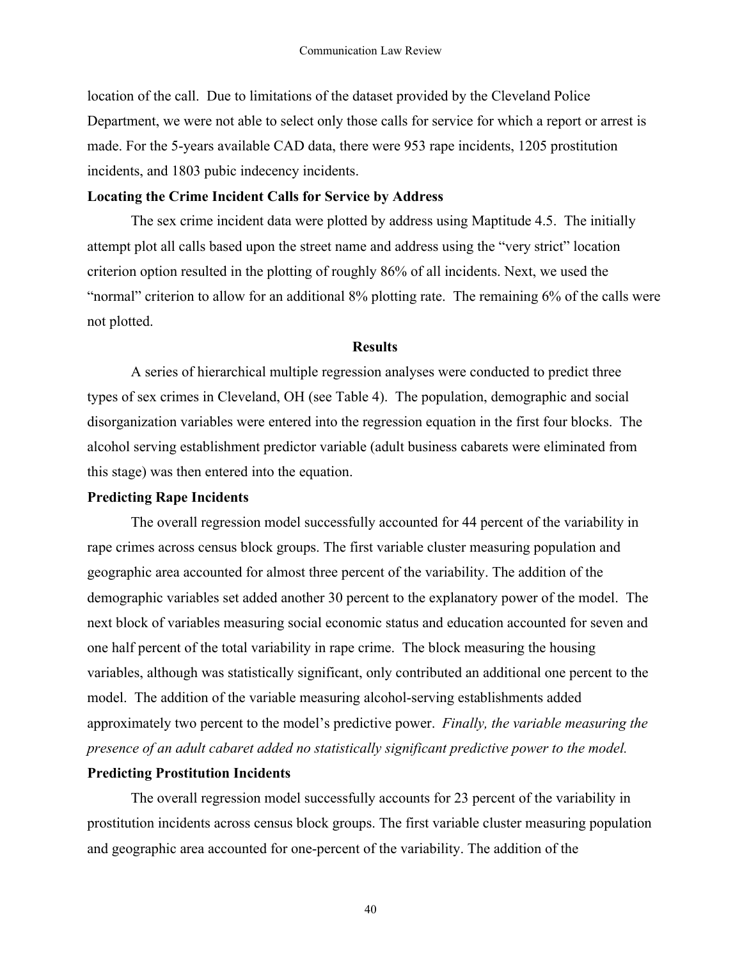location of the call. Due to limitations of the dataset provided by the Cleveland Police Department, we were not able to select only those calls for service for which a report or arrest is made. For the 5-years available CAD data, there were 953 rape incidents, 1205 prostitution incidents, and 1803 pubic indecency incidents.

# **Locating the Crime Incident Calls for Service by Address**

The sex crime incident data were plotted by address using Maptitude 4.5. The initially attempt plot all calls based upon the street name and address using the "very strict" location criterion option resulted in the plotting of roughly 86% of all incidents. Next, we used the "normal" criterion to allow for an additional 8% plotting rate. The remaining 6% of the calls were not plotted.

# **Results**

A series of hierarchical multiple regression analyses were conducted to predict three types of sex crimes in Cleveland, OH (see Table 4). The population, demographic and social disorganization variables were entered into the regression equation in the first four blocks. The alcohol serving establishment predictor variable (adult business cabarets were eliminated from this stage) was then entered into the equation.

# **Predicting Rape Incidents**

The overall regression model successfully accounted for 44 percent of the variability in rape crimes across census block groups. The first variable cluster measuring population and geographic area accounted for almost three percent of the variability. The addition of the demographic variables set added another 30 percent to the explanatory power of the model. The next block of variables measuring social economic status and education accounted for seven and one half percent of the total variability in rape crime. The block measuring the housing variables, although was statistically significant, only contributed an additional one percent to the model. The addition of the variable measuring alcohol-serving establishments added approximately two percent to the model's predictive power. *Finally, the variable measuring the presence of an adult cabaret added no statistically significant predictive power to the model.*

# **Predicting Prostitution Incidents**

The overall regression model successfully accounts for 23 percent of the variability in prostitution incidents across census block groups. The first variable cluster measuring population and geographic area accounted for one-percent of the variability. The addition of the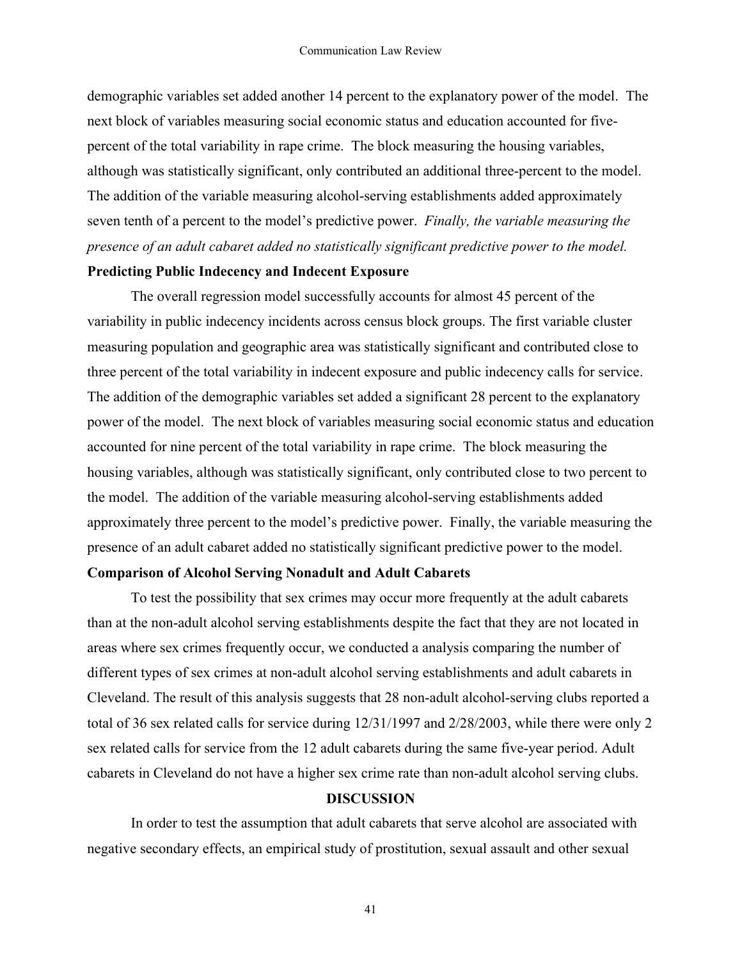demographic variables set added another 14 percent to the explanatory power of the model. The next block of variables measuring social economic status and education accounted for fivepercent of the total variability in rape crime. The block measuring the housing variables, although was statistically significant, only contributed an additional three-percent to the model. The addition of the variable measuring alcohol-serving establishments added approximately seven tenth of a percent to the model's predictive power. *Finally, the variable measuring the presence of an adult cabaret added no statistically significant predictive power to the model.*

## **Predicting Public Indecency and Indecent Exposure**

The overall regression model successfully accounts for almost 45 percent of the variability in public indecency incidents across census block groups. The first variable cluster measuring population and geographic area was statistically significant and contributed close to three percent of the total variability in indecent exposure and public indecency calls for service. The addition of the demographic variables set added a significant 28 percent to the explanatory power of the model. The next block of variables measuring social economic status and education accounted for nine percent of the total variability in rape crime. The block measuring the housing variables, although was statistically significant, only contributed close to two percent to the model. The addition of the variable measuring alcohol-serving establishments added approximately three percent to the model's predictive power. Finally, the variable measuring the presence of an adult cabaret added no statistically significant predictive power to the model.

## **Comparison of Alcohol Serving Nonadult and Adult Cabarets**

To test the possibility that sex crimes may occur more frequently at the adult cabarets than at the non-adult alcohol serving establishments despite the fact that they are not located in areas where sex crimes frequently occur, we conducted a analysis comparing the number of different types of sex crimes at non-adult alcohol serving establishments and adult cabarets in Cleveland. The result of this analysis suggests that 28 non-adult alcohol-serving clubs reported a total of 36 sex related calls for service during 12/31/1997 and 2/28/2003, while there were only 2 sex related calls for service from the 12 adult cabarets during the same five-year period. Adult cabarets in Cleveland do not have a higher sex crime rate than non-adult alcohol serving clubs.

## **DISCUSSION**

In order to test the assumption that adult cabarets that serve alcohol are associated with negative secondary effects, an empirical study of prostitution, sexual assault and other sexual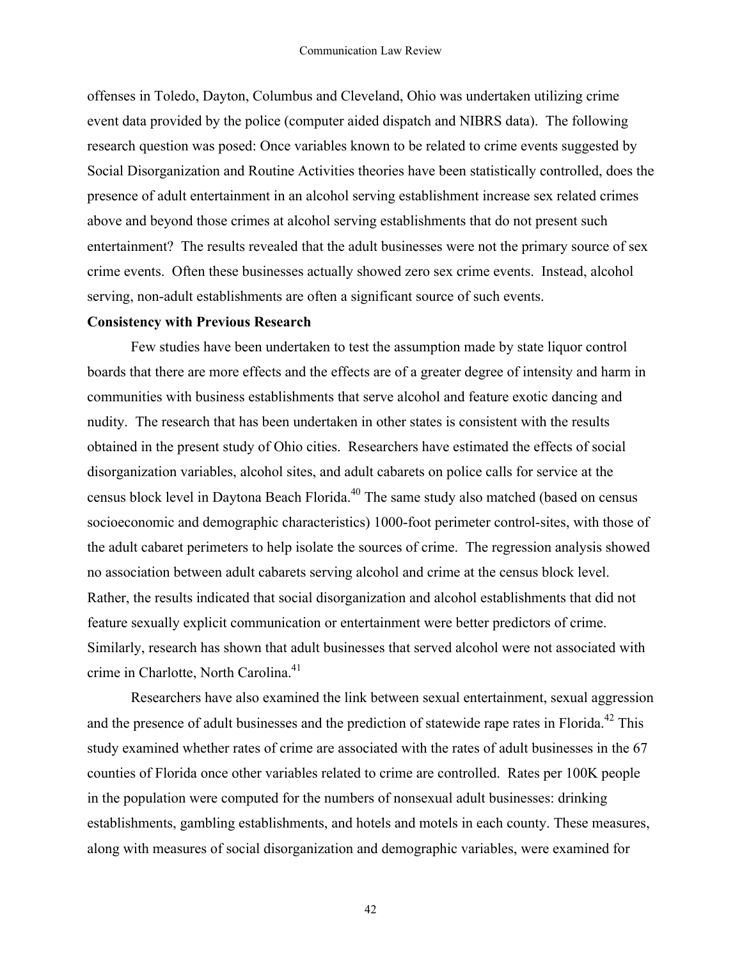offenses in Toledo, Dayton, Columbus and Cleveland, Ohio was undertaken utilizing crime event data provided by the police (computer aided dispatch and NIBRS data). The following research question was posed: Once variables known to be related to crime events suggested by Social Disorganization and Routine Activities theories have been statistically controlled, does the presence of adult entertainment in an alcohol serving establishment increase sex related crimes above and beyond those crimes at alcohol serving establishments that do not present such entertainment? The results revealed that the adult businesses were not the primary source of sex crime events. Often these businesses actually showed zero sex crime events. Instead, alcohol serving, non-adult establishments are often a significant source of such events.

# **Consistency with Previous Research**

Few studies have been undertaken to test the assumption made by state liquor control boards that there are more effects and the effects are of a greater degree of intensity and harm in communities with business establishments that serve alcohol and feature exotic dancing and nudity. The research that has been undertaken in other states is consistent with the results obtained in the present study of Ohio cities. Researchers have estimated the effects of social disorganization variables, alcohol sites, and adult cabarets on police calls for service at the census block level in Daytona Beach Florida.<sup>40</sup> The same study also matched (based on census socioeconomic and demographic characteristics) 1000-foot perimeter control-sites, with those of the adult cabaret perimeters to help isolate the sources of crime. The regression analysis showed no association between adult cabarets serving alcohol and crime at the census block level. Rather, the results indicated that social disorganization and alcohol establishments that did not feature sexually explicit communication or entertainment were better predictors of crime. Similarly, research has shown that adult businesses that served alcohol were not associated with crime in Charlotte, North Carolina.<sup>41</sup>

Researchers have also examined the link between sexual entertainment, sexual aggression and the presence of adult businesses and the prediction of statewide rape rates in Florida.<sup>42</sup> This study examined whether rates of crime are associated with the rates of adult businesses in the 67 counties of Florida once other variables related to crime are controlled. Rates per 100K people in the population were computed for the numbers of nonsexual adult businesses: drinking establishments, gambling establishments, and hotels and motels in each county. These measures, along with measures of social disorganization and demographic variables, were examined for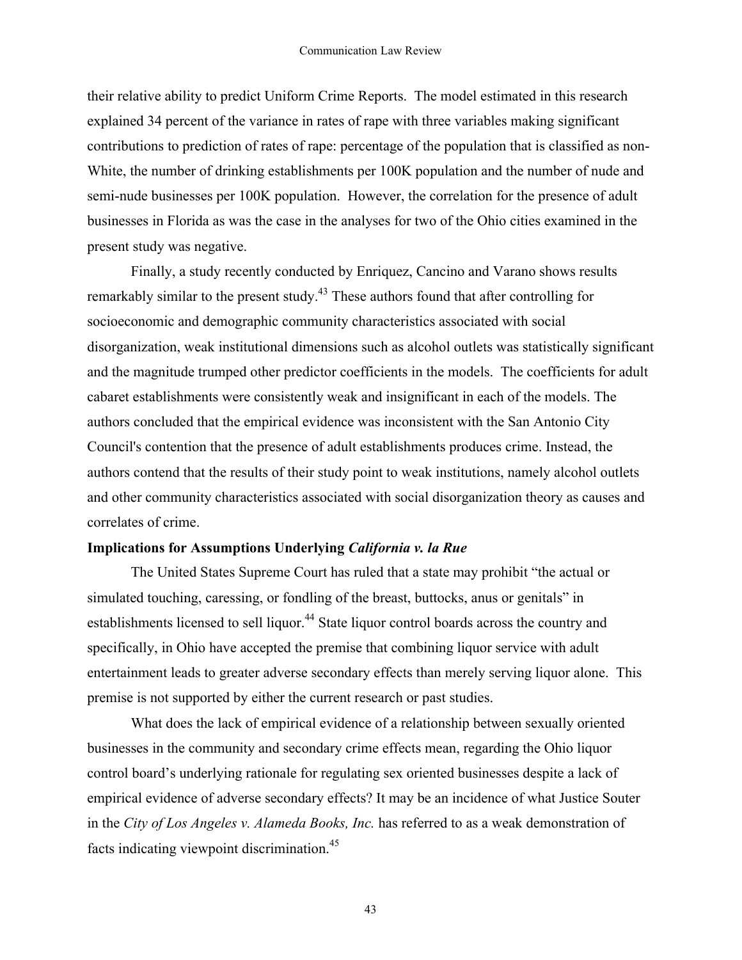their relative ability to predict Uniform Crime Reports. The model estimated in this research explained 34 percent of the variance in rates of rape with three variables making significant contributions to prediction of rates of rape: percentage of the population that is classified as non-White, the number of drinking establishments per 100K population and the number of nude and semi-nude businesses per 100K population. However, the correlation for the presence of adult businesses in Florida as was the case in the analyses for two of the Ohio cities examined in the present study was negative.

Finally, a study recently conducted by Enriquez, Cancino and Varano shows results remarkably similar to the present study.<sup>43</sup> These authors found that after controlling for socioeconomic and demographic community characteristics associated with social disorganization, weak institutional dimensions such as alcohol outlets was statistically significant and the magnitude trumped other predictor coefficients in the models. The coefficients for adult cabaret establishments were consistently weak and insignificant in each of the models. The authors concluded that the empirical evidence was inconsistent with the San Antonio City Council's contention that the presence of adult establishments produces crime. Instead, the authors contend that the results of their study point to weak institutions, namely alcohol outlets and other community characteristics associated with social disorganization theory as causes and correlates of crime.

# **Implications for Assumptions Underlying** *California v. la Rue*

The United States Supreme Court has ruled that a state may prohibit "the actual or simulated touching, caressing, or fondling of the breast, buttocks, anus or genitals" in establishments licensed to sell liquor.<sup>44</sup> State liquor control boards across the country and specifically, in Ohio have accepted the premise that combining liquor service with adult entertainment leads to greater adverse secondary effects than merely serving liquor alone. This premise is not supported by either the current research or past studies.

What does the lack of empirical evidence of a relationship between sexually oriented businesses in the community and secondary crime effects mean, regarding the Ohio liquor control board's underlying rationale for regulating sex oriented businesses despite a lack of empirical evidence of adverse secondary effects? It may be an incidence of what Justice Souter in the *City of Los Angeles v. Alameda Books, Inc.* has referred to as a weak demonstration of facts indicating viewpoint discrimination.<sup>45</sup>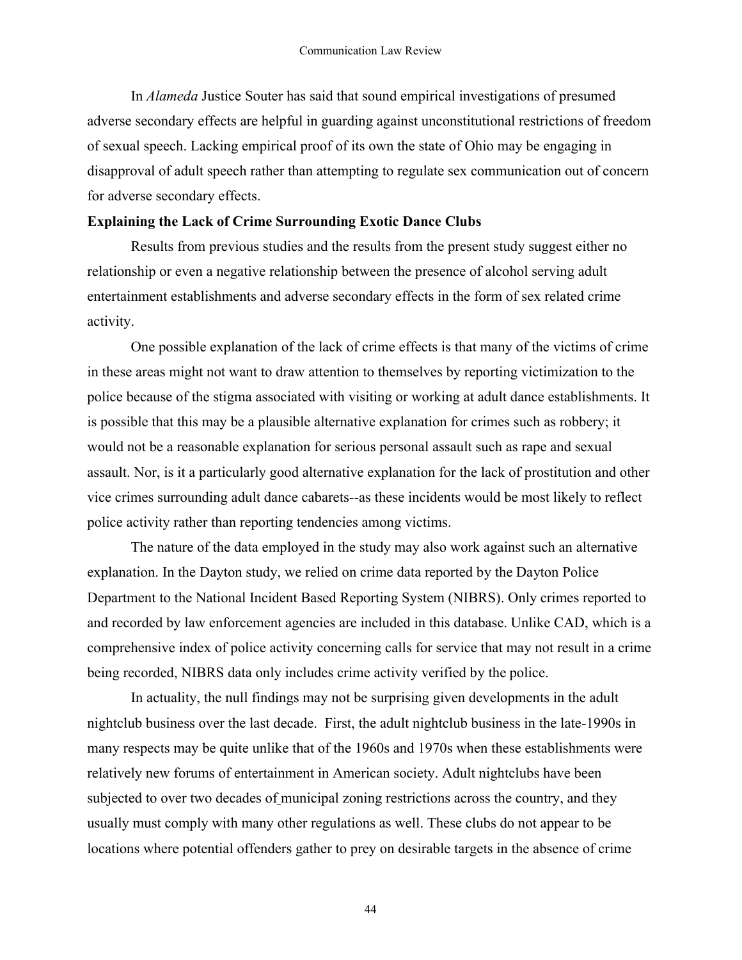In *Alameda* Justice Souter has said that sound empirical investigations of presumed adverse secondary effects are helpful in guarding against unconstitutional restrictions of freedom of sexual speech. Lacking empirical proof of its own the state of Ohio may be engaging in disapproval of adult speech rather than attempting to regulate sex communication out of concern for adverse secondary effects.

# **Explaining the Lack of Crime Surrounding Exotic Dance Clubs**

Results from previous studies and the results from the present study suggest either no relationship or even a negative relationship between the presence of alcohol serving adult entertainment establishments and adverse secondary effects in the form of sex related crime activity.

One possible explanation of the lack of crime effects is that many of the victims of crime in these areas might not want to draw attention to themselves by reporting victimization to the police because of the stigma associated with visiting or working at adult dance establishments. It is possible that this may be a plausible alternative explanation for crimes such as robbery; it would not be a reasonable explanation for serious personal assault such as rape and sexual assault. Nor, is it a particularly good alternative explanation for the lack of prostitution and other vice crimes surrounding adult dance cabarets--as these incidents would be most likely to reflect police activity rather than reporting tendencies among victims.

The nature of the data employed in the study may also work against such an alternative explanation. In the Dayton study, we relied on crime data reported by the Dayton Police Department to the National Incident Based Reporting System (NIBRS). Only crimes reported to and recorded by law enforcement agencies are included in this database. Unlike CAD, which is a comprehensive index of police activity concerning calls for service that may not result in a crime being recorded, NIBRS data only includes crime activity verified by the police.

In actuality, the null findings may not be surprising given developments in the adult nightclub business over the last decade. First, the adult nightclub business in the late-1990s in many respects may be quite unlike that of the 1960s and 1970s when these establishments were relatively new forums of entertainment in American society. Adult nightclubs have been subjected to over two decades of municipal zoning restrictions across the country, and they usually must comply with many other regulations as well. These clubs do not appear to be locations where potential offenders gather to prey on desirable targets in the absence of crime

<sup>44</sup>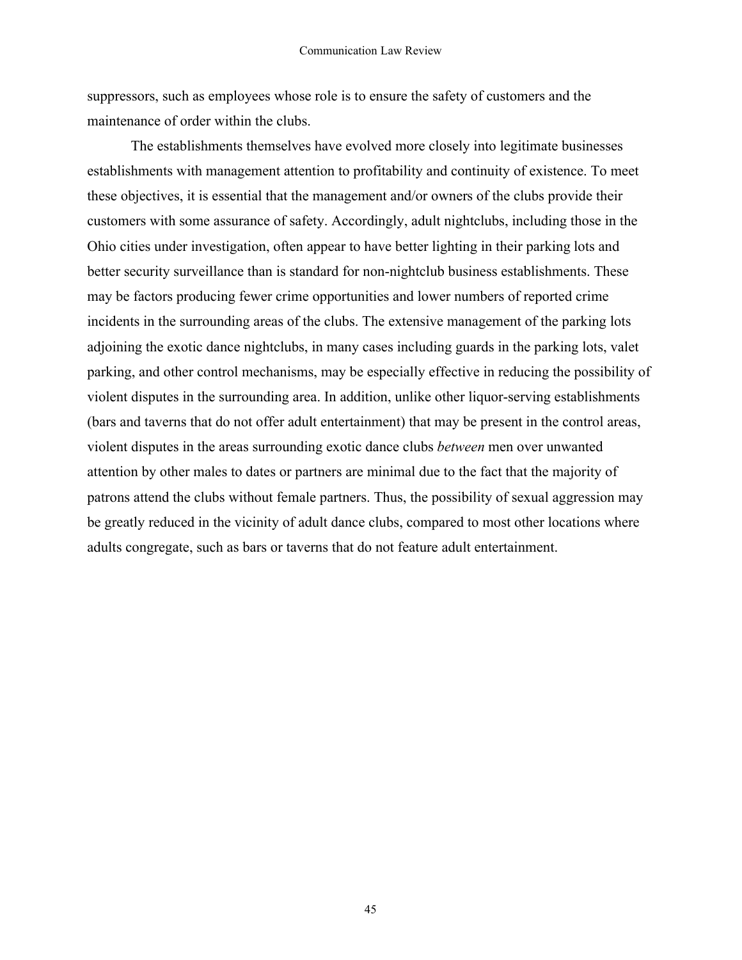suppressors, such as employees whose role is to ensure the safety of customers and the maintenance of order within the clubs.

The establishments themselves have evolved more closely into legitimate businesses establishments with management attention to profitability and continuity of existence. To meet these objectives, it is essential that the management and/or owners of the clubs provide their customers with some assurance of safety. Accordingly, adult nightclubs, including those in the Ohio cities under investigation, often appear to have better lighting in their parking lots and better security surveillance than is standard for non-nightclub business establishments. These may be factors producing fewer crime opportunities and lower numbers of reported crime incidents in the surrounding areas of the clubs. The extensive management of the parking lots adjoining the exotic dance nightclubs, in many cases including guards in the parking lots, valet parking, and other control mechanisms, may be especially effective in reducing the possibility of violent disputes in the surrounding area. In addition, unlike other liquor-serving establishments (bars and taverns that do not offer adult entertainment) that may be present in the control areas, violent disputes in the areas surrounding exotic dance clubs *between* men over unwanted attention by other males to dates or partners are minimal due to the fact that the majority of patrons attend the clubs without female partners. Thus, the possibility of sexual aggression may be greatly reduced in the vicinity of adult dance clubs, compared to most other locations where adults congregate, such as bars or taverns that do not feature adult entertainment.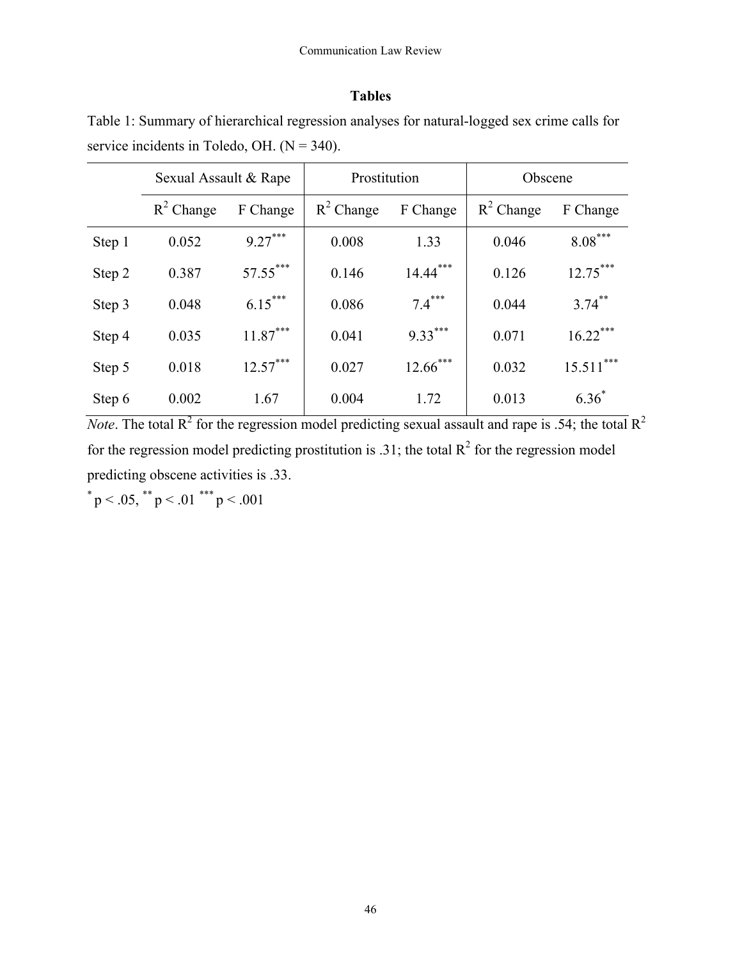# **Tables**

Table 1: Summary of hierarchical regression analyses for natural-logged sex crime calls for service incidents in Toledo, OH.  $(N = 340)$ .

|        | Sexual Assault & Rape |            | Prostitution |             | Obscene      |             |
|--------|-----------------------|------------|--------------|-------------|--------------|-------------|
|        | $R^2$ Change          | F Change   | $R^2$ Change | F Change    | $R^2$ Change | F Change    |
| Step 1 | 0.052                 | $9.27***$  | 0.008        | 1.33        | 0.046        | $8.08***$   |
| Step 2 | 0.387                 | $57.55***$ | 0.146        | $14.44***$  | 0.126        | $12.75***$  |
| Step 3 | 0.048                 | $6.15***$  | 0.086        | $7.4***$    | 0.044        | $3.74$ **   |
| Step 4 | 0.035                 | $11.87***$ | 0.041        | $9.33***$   | 0.071        | $16.22***$  |
| Step 5 | 0.018                 | $12.57***$ | 0.027        | $12.66$ *** | 0.032        | $15.511***$ |
| Step 6 | 0.002                 | 1.67       | 0.004        | 1.72        | 0.013        | $6.36^{*}$  |

*Note*. The total  $R^2$  for the regression model predicting sexual assault and rape is .54; the total  $R^2$ for the regression model predicting prostitution is .31; the total  $\mathbb{R}^2$  for the regression model predicting obscene activities is .33.

 $p < .05$ ,  $p < .01$   $p < .001$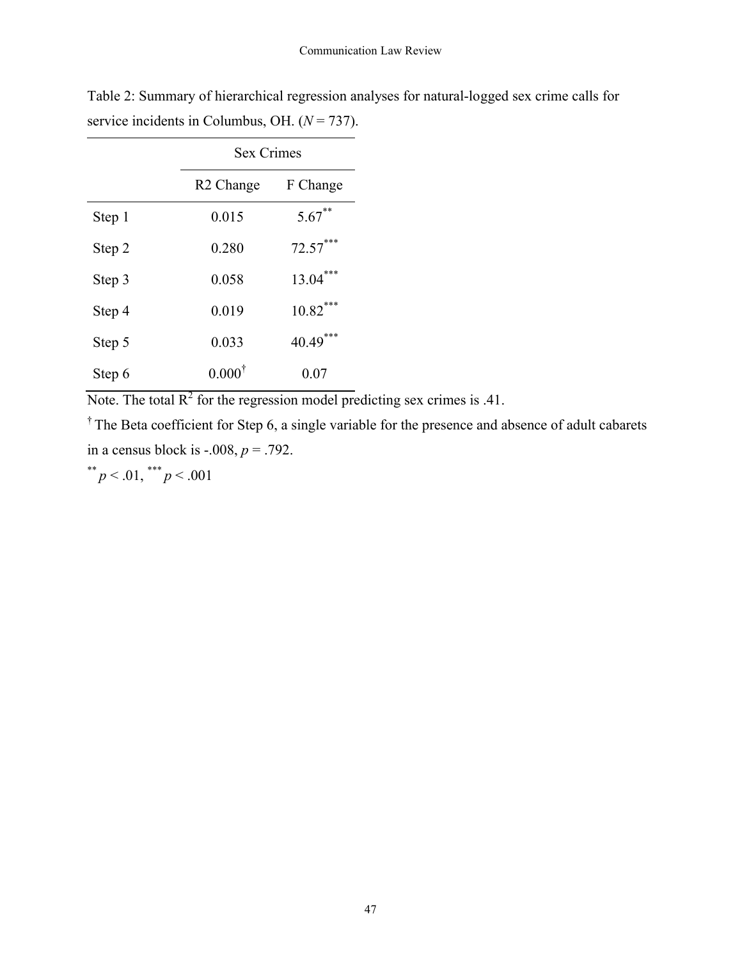|        | <b>Sex Crimes</b>     |            |  |  |
|--------|-----------------------|------------|--|--|
|        | R <sub>2</sub> Change | F Change   |  |  |
| Step 1 | 0.015                 | $5.67$ **  |  |  |
| Step 2 | 0.280                 | $72.57***$ |  |  |
| Step 3 | 0.058                 | $13.04***$ |  |  |
| Step 4 | 0.019                 | $10.82***$ |  |  |
| Step 5 | 0.033                 | $40.49***$ |  |  |
| Step 6 | $0.000^{\dagger}$     | 0.07       |  |  |

Table 2: Summary of hierarchical regression analyses for natural-logged sex crime calls for service incidents in Columbus, OH.  $(N = 737)$ .

Note. The total  $R^2$  for the regression model predicting sex crimes is .41.

† The Beta coefficient for Step 6, a single variable for the presence and absence of adult cabarets in a census block is  $-0.008$ ,  $p = .792$ .

$$
^{**}p < .01, \, ^{***}p < .001
$$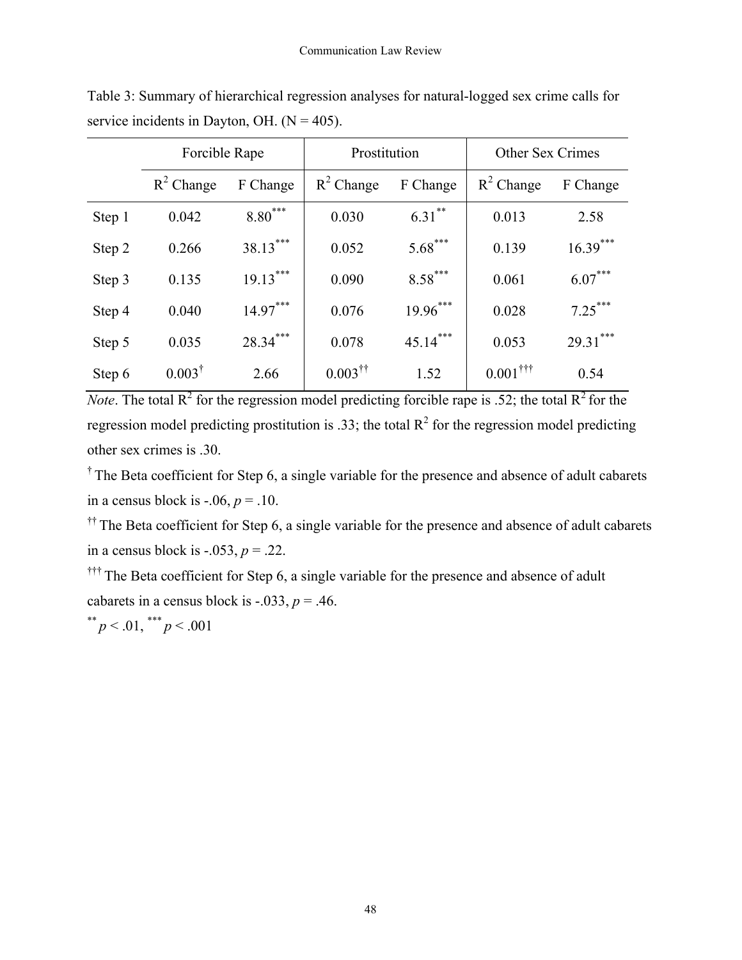|        | Forcible Rape     |            | Prostitution             |            | <b>Other Sex Crimes</b> |            |
|--------|-------------------|------------|--------------------------|------------|-------------------------|------------|
|        | $R^2$ Change      | F Change   | $R^2$ Change             | F Change   | $R^2$ Change            | F Change   |
| Step 1 | 0.042             | $8.80***$  | 0.030                    | $6.31$ **  | 0.013                   | 2.58       |
| Step 2 | 0.266             | $38.13***$ | 0.052                    | $5.68***$  | 0.139                   | $16.39***$ |
| Step 3 | 0.135             | $19.13***$ | 0.090                    | $8.58***$  | 0.061                   | $6.07***$  |
| Step 4 | 0.040             | $14.97***$ | 0.076                    | $19.96***$ | 0.028                   | $7.25***$  |
| Step 5 | 0.035             | $28.34***$ | 0.078                    | $45.14***$ | 0.053                   | $29.31***$ |
| Step 6 | $0.003^{\dagger}$ | 2.66       | $0.003^{\dagger\dagger}$ | 1.52       | $0.001$ <sup>†††</sup>  | 0.54       |

Table 3: Summary of hierarchical regression analyses for natural-logged sex crime calls for service incidents in Dayton, OH.  $(N = 405)$ .

*Note*. The total  $R^2$  for the regression model predicting forcible rape is .52; the total  $R^2$  for the regression model predicting prostitution is .33; the total  $R^2$  for the regression model predicting other sex crimes is .30.

<sup>†</sup> The Beta coefficient for Step 6, a single variable for the presence and absence of adult cabarets in a census block is  $-0.06$ ,  $p = 0.10$ .

<sup>††</sup> The Beta coefficient for Step 6, a single variable for the presence and absence of adult cabarets in a census block is  $-.053$ ,  $p = .22$ .

††† The Beta coefficient for Step 6, a single variable for the presence and absence of adult cabarets in a census block is  $-.033, p = .46$ .

\*\*  $p < .01,$  \*\*\*  $p < .001$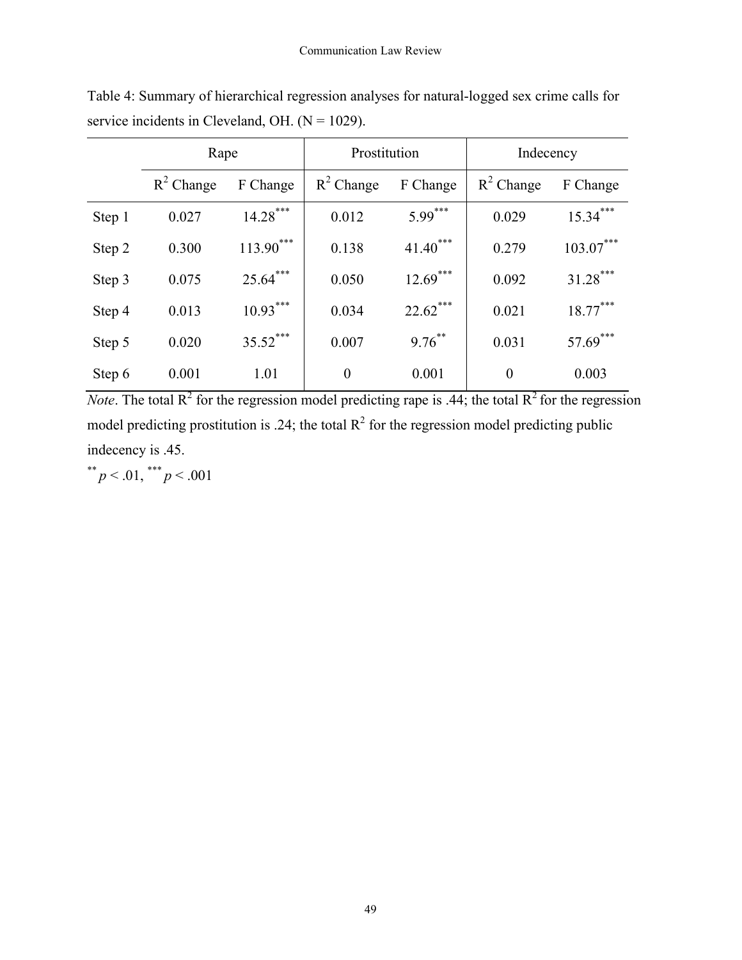|        | Rape         |             | Prostitution |             | Indecency      |             |
|--------|--------------|-------------|--------------|-------------|----------------|-------------|
|        | $R^2$ Change | F Change    | $R^2$ Change | F Change    | $R^2$ Change   | F Change    |
| Step 1 | 0.027        | $14.28***$  | 0.012        | $5.99***$   | 0.029          | $15.34***$  |
| Step 2 | 0.300        | $113.90***$ | 0.138        | $41.40***$  | 0.279          | $103.07***$ |
| Step 3 | 0.075        | $25.64***$  | 0.050        | $12.69***$  | 0.092          | $31.28***$  |
| Step 4 | 0.013        | $10.93***$  | 0.034        | $22.62$ *** | 0.021          | $18.77***$  |
| Step 5 | 0.020        | $35.52$ *** | 0.007        | $9.76$ **   | 0.031          | $57.69$ *** |
| Step 6 | 0.001        | 1.01        | $\theta$     | 0.001       | $\overline{0}$ | 0.003       |

Table 4: Summary of hierarchical regression analyses for natural-logged sex crime calls for service incidents in Cleveland, OH.  $(N = 1029)$ .

*Note*. The total  $R^2$  for the regression model predicting rape is .44; the total  $R^2$  for the regression model predicting prostitution is .24; the total  $R^2$  for the regression model predicting public indecency is .45.

\*\*  $p < .01,$ \*\*\*  $p < .001$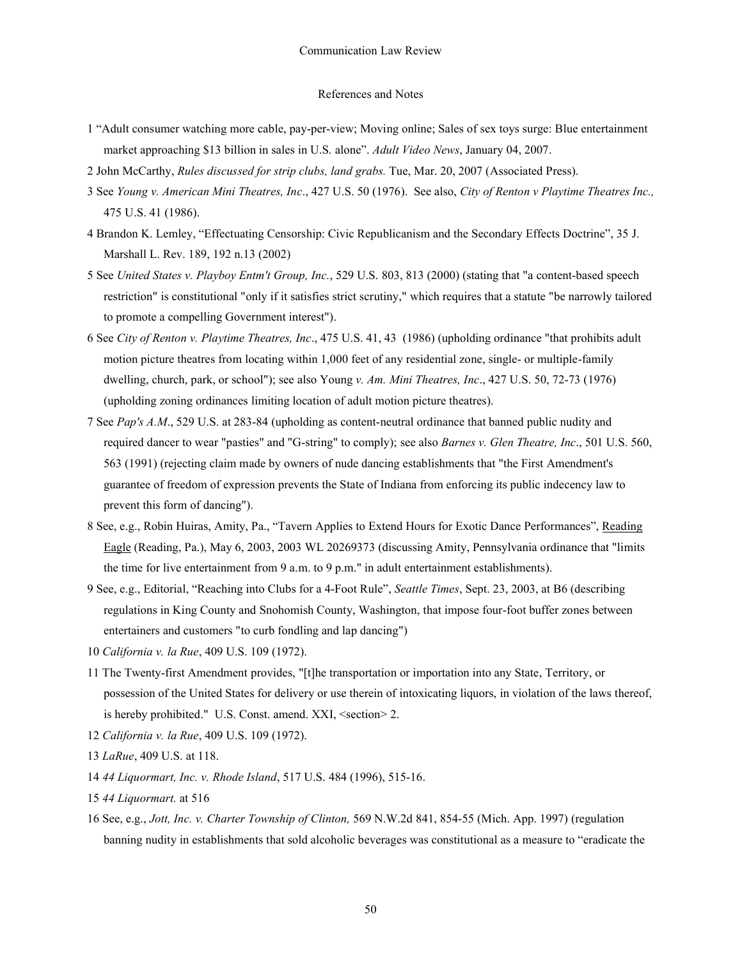#### References and Notes

- 1 "Adult consumer watching more cable, pay-per-view; Moving online; Sales of sex toys surge: Blue entertainment market approaching \$13 billion in sales in U.S. alone". *Adult Video News*, January 04, 2007.
- 2 John McCarthy, *Rules discussed for strip clubs, land grabs.* Tue, Mar. 20, 2007 (Associated Press).
- 3 See *Young v. American Mini Theatres, Inc*., 427 U.S. 50 (1976). See also, *City of Renton v Playtime Theatres Inc.,* 475 U.S. 41 (1986).
- 4 Brandon K. Lemley, "Effectuating Censorship: Civic Republicanism and the Secondary Effects Doctrine", 35 J. Marshall L. Rev. 189, 192 n.13 (2002)
- 5 See *United States v. Playboy Entm't Group, Inc.*, 529 U.S. 803, 813 (2000) (stating that "a content-based speech restriction" is constitutional "only if it satisfies strict scrutiny," which requires that a statute "be narrowly tailored to promote a compelling Government interest").
- 6 See *City of Renton v. Playtime Theatres, Inc*., 475 U.S. 41, 43 (1986) (upholding ordinance "that prohibits adult motion picture theatres from locating within 1,000 feet of any residential zone, single- or multiple-family dwelling, church, park, or school"); see also Young *v. Am. Mini Theatres, Inc*., 427 U.S. 50, 72-73 (1976) (upholding zoning ordinances limiting location of adult motion picture theatres).
- 7 See *Pap's A.M*., 529 U.S. at 283-84 (upholding as content-neutral ordinance that banned public nudity and required dancer to wear "pasties" and "G-string" to comply); see also *Barnes v. Glen Theatre, Inc*., 501 U.S. 560, 563 (1991) (rejecting claim made by owners of nude dancing establishments that "the First Amendment's guarantee of freedom of expression prevents the State of Indiana from enforcing its public indecency law to prevent this form of dancing").
- 8 See, e.g., Robin Huiras, Amity, Pa., "Tavern Applies to Extend Hours for Exotic Dance Performances", Reading Eagle (Reading, Pa.), May 6, 2003, 2003 WL 20269373 (discussing Amity, Pennsylvania ordinance that "limits the time for live entertainment from 9 a.m. to 9 p.m." in adult entertainment establishments).
- 9 See, e.g., Editorial, "Reaching into Clubs for a 4-Foot Rule", *Seattle Times*, Sept. 23, 2003, at B6 (describing regulations in King County and Snohomish County, Washington, that impose four-foot buffer zones between entertainers and customers "to curb fondling and lap dancing")
- 10 *California v. la Rue*, 409 U.S. 109 (1972).
- 11 The Twenty-first Amendment provides, "[t]he transportation or importation into any State, Territory, or possession of the United States for delivery or use therein of intoxicating liquors, in violation of the laws thereof, is hereby prohibited." U.S. Const. amend. XXI, <section> 2.
- 12 *California v. la Rue*, 409 U.S. 109 (1972).
- 13 *LaRue*, 409 U.S. at 118.
- 14 *44 Liquormart, Inc. v. Rhode Island*, 517 U.S. 484 (1996), 515-16.
- 15 *44 Liquormart.* at 516
- 16 See, e.g., *Jott, Inc. v. Charter Township of Clinton,* 569 N.W.2d 841, 854-55 (Mich. App. 1997) (regulation banning nudity in establishments that sold alcoholic beverages was constitutional as a measure to "eradicate the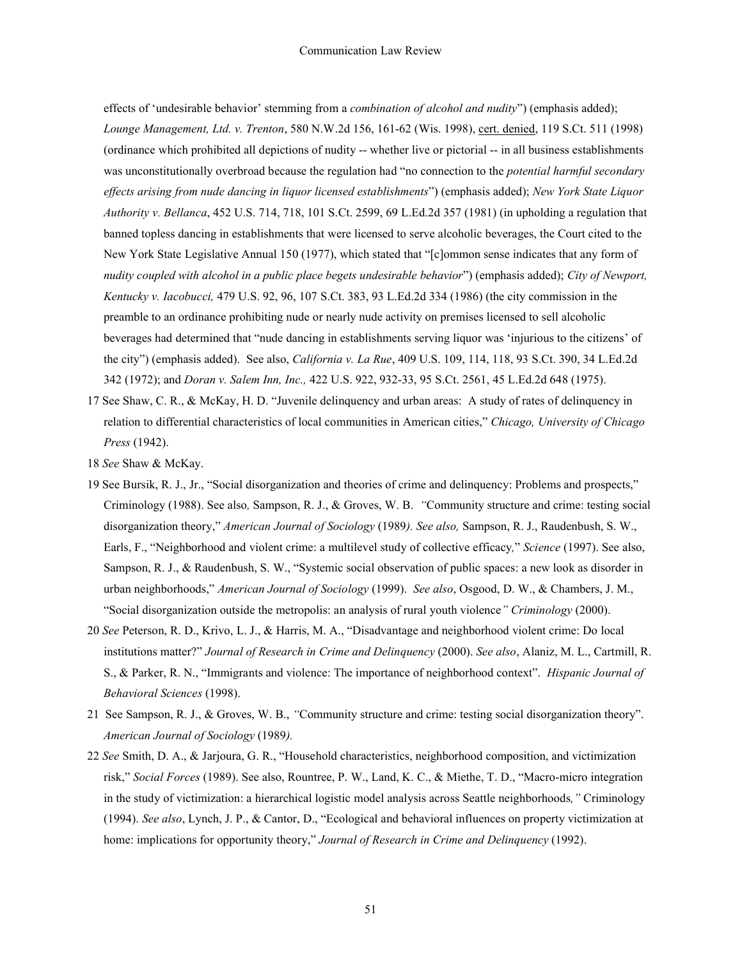effects of 'undesirable behavior' stemming from a *combination of alcohol and nudity*") (emphasis added); *Lounge Management, Ltd. v. Trenton*, 580 N.W.2d 156, 161-62 (Wis. 1998), cert. denied, 119 S.Ct. 511 (1998) (ordinance which prohibited all depictions of nudity -- whether live or pictorial -- in all business establishments was unconstitutionally overbroad because the regulation had "no connection to the *potential harmful secondary effects arising from nude dancing in liquor licensed establishments*") (emphasis added); *New York State Liquor Authority v. Bellanca*, 452 U.S. 714, 718, 101 S.Ct. 2599, 69 L.Ed.2d 357 (1981) (in upholding a regulation that banned topless dancing in establishments that were licensed to serve alcoholic beverages, the Court cited to the New York State Legislative Annual 150 (1977), which stated that "[c]ommon sense indicates that any form of *nudity coupled with alcohol in a public place begets undesirable behavior*") (emphasis added); *City of Newport, Kentucky v. Iacobucci,* 479 U.S. 92, 96, 107 S.Ct. 383, 93 L.Ed.2d 334 (1986) (the city commission in the preamble to an ordinance prohibiting nude or nearly nude activity on premises licensed to sell alcoholic beverages had determined that "nude dancing in establishments serving liquor was 'injurious to the citizens' of the city") (emphasis added). See also, *California v. La Rue*, 409 U.S. 109, 114, 118, 93 S.Ct. 390, 34 L.Ed.2d 342 (1972); and *Doran v. Salem Inn, Inc.,* 422 U.S. 922, 932-33, 95 S.Ct. 2561, 45 L.Ed.2d 648 (1975).

- 17 See Shaw, C. R., & McKay, H. D. "Juvenile delinquency and urban areas: A study of rates of delinquency in relation to differential characteristics of local communities in American cities," *Chicago, University of Chicago Press* (1942).
- 18 *See* Shaw & McKay.
- 19 See Bursik, R. J., Jr., "Social disorganization and theories of crime and delinquency: Problems and prospects," Criminology (1988). See also*,* Sampson, R. J., & Groves, W. B. *"*Community structure and crime: testing social disorganization theory," *American Journal of Sociology* (1989*). See also,* Sampson, R. J., Raudenbush, S. W., Earls, F., "Neighborhood and violent crime: a multilevel study of collective efficacy*,*" *Science* (1997). See also, Sampson, R. J., & Raudenbush, S. W., "Systemic social observation of public spaces: a new look as disorder in urban neighborhoods," *American Journal of Sociology* (1999). *See also*, Osgood, D. W., & Chambers, J. M., "Social disorganization outside the metropolis: an analysis of rural youth violence*" Criminology* (2000).
- 20 *See* Peterson, R. D., Krivo, L. J., & Harris, M. A., "Disadvantage and neighborhood violent crime: Do local institutions matter?" *Journal of Research in Crime and Delinquency* (2000). *See also*, Alaniz, M. L., Cartmill, R. S., & Parker, R. N., "Immigrants and violence: The importance of neighborhood context". *Hispanic Journal of Behavioral Sciences* (1998).
- 21 See Sampson, R. J., & Groves, W. B., *"*Community structure and crime: testing social disorganization theory". *American Journal of Sociology* (1989*).*
- 22 *See* Smith, D. A., & Jarjoura, G. R., "Household characteristics, neighborhood composition, and victimization risk," *Social Forces* (1989). See also, Rountree, P. W., Land, K. C., & Miethe, T. D., "Macro-micro integration in the study of victimization: a hierarchical logistic model analysis across Seattle neighborhoods*,"* Criminology (1994). *See also*, Lynch, J. P., & Cantor, D., "Ecological and behavioral influences on property victimization at home: implications for opportunity theory," *Journal of Research in Crime and Delinquency* (1992).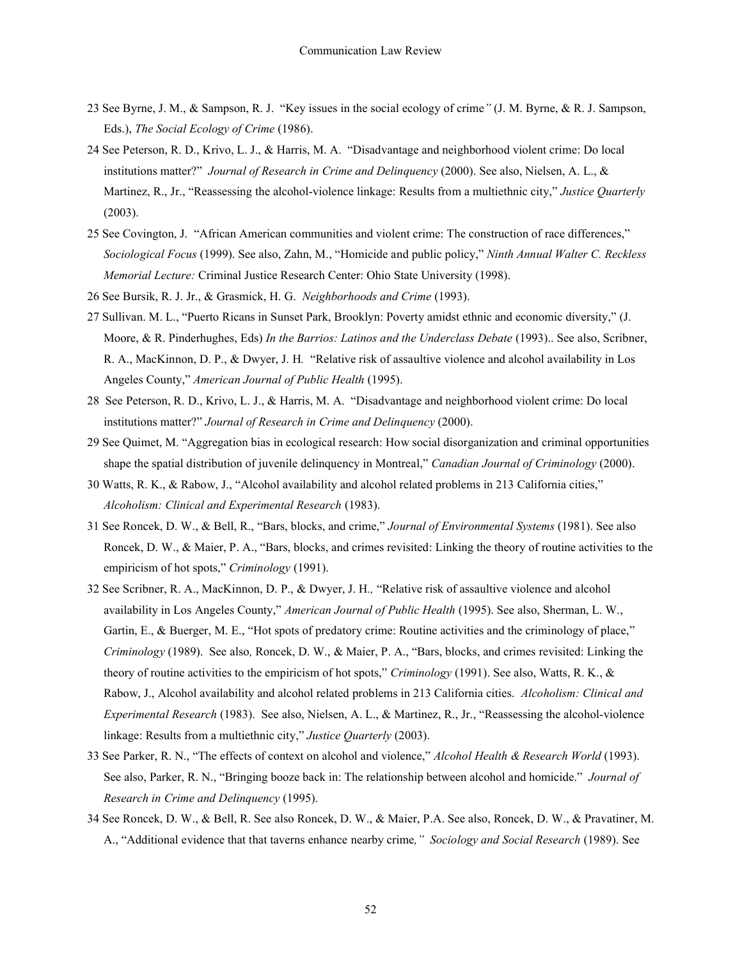- 23 See Byrne, J. M., & Sampson, R. J. "Key issues in the social ecology of crime*"* (J. M. Byrne, & R. J. Sampson, Eds.), *The Social Ecology of Crime* (1986).
- 24 See Peterson, R. D., Krivo, L. J., & Harris, M. A. "Disadvantage and neighborhood violent crime: Do local institutions matter?" *Journal of Research in Crime and Delinquency* (2000). See also, Nielsen, A. L., & Martinez, R., Jr., "Reassessing the alcohol-violence linkage: Results from a multiethnic city," *Justice Quarterly* (2003).
- 25 See Covington, J. "African American communities and violent crime: The construction of race differences," *Sociological Focus* (1999). See also, Zahn, M., "Homicide and public policy," *Ninth Annual Walter C. Reckless Memorial Lecture:* Criminal Justice Research Center: Ohio State University (1998).
- 26 See Bursik, R. J. Jr., & Grasmick, H. G. *Neighborhoods and Crime* (1993).
- 27 Sullivan. M. L., "Puerto Ricans in Sunset Park, Brooklyn: Poverty amidst ethnic and economic diversity," (J. Moore, & R. Pinderhughes, Eds) *In the Barrios: Latinos and the Underclass Debate* (1993).. See also, Scribner, R. A., MacKinnon, D. P., & Dwyer, J. H*.* "Relative risk of assaultive violence and alcohol availability in Los Angeles County," *American Journal of Public Health* (1995).
- 28 See Peterson, R. D., Krivo, L. J., & Harris, M. A. "Disadvantage and neighborhood violent crime: Do local institutions matter?" *Journal of Research in Crime and Delinquency* (2000).
- 29 See Quimet, M. "Aggregation bias in ecological research: How social disorganization and criminal opportunities shape the spatial distribution of juvenile delinquency in Montreal," *Canadian Journal of Criminology* (2000).
- 30 Watts, R. K., & Rabow, J., "Alcohol availability and alcohol related problems in 213 California cities," *Alcoholism: Clinical and Experimental Research* (1983).
- 31 See Roncek, D. W., & Bell, R., "Bars, blocks, and crime," *Journal of Environmental Systems* (1981). See also Roncek, D. W., & Maier, P. A., "Bars, blocks, and crimes revisited: Linking the theory of routine activities to the empiricism of hot spots," *Criminology* (1991).
- 32 See Scribner, R. A., MacKinnon, D. P., & Dwyer, J. H*.,* "Relative risk of assaultive violence and alcohol availability in Los Angeles County," *American Journal of Public Health* (1995). See also, Sherman, L. W., Gartin, E., & Buerger, M. E., "Hot spots of predatory crime: Routine activities and the criminology of place," *Criminology* (1989). See also*,* Roncek, D. W., & Maier, P. A., "Bars, blocks, and crimes revisited: Linking the theory of routine activities to the empiricism of hot spots," *Criminology* (1991). See also, Watts, R. K., & Rabow, J., Alcohol availability and alcohol related problems in 213 California cities. *Alcoholism: Clinical and Experimental Research* (1983). See also, Nielsen, A. L., & Martinez, R., Jr., "Reassessing the alcohol-violence linkage: Results from a multiethnic city," *Justice Quarterly* (2003).
- 33 See Parker, R. N., "The effects of context on alcohol and violence," *Alcohol Health & Research World* (1993). See also, Parker, R. N., "Bringing booze back in: The relationship between alcohol and homicide." *Journal of Research in Crime and Delinquency* (1995).
- 34 See Roncek, D. W., & Bell, R. See also Roncek, D. W., & Maier, P.A. See also, Roncek, D. W., & Pravatiner, M. A., "Additional evidence that that taverns enhance nearby crime*," Sociology and Social Research* (1989). See